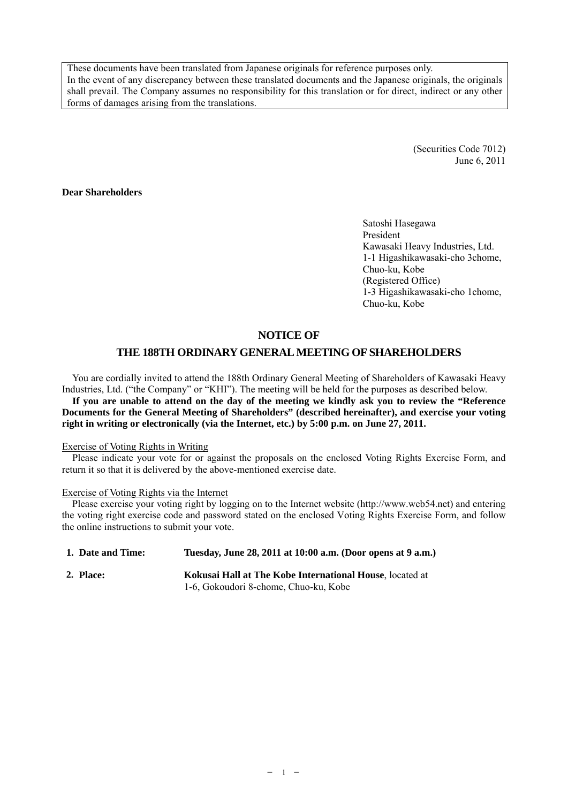These documents have been translated from Japanese originals for reference purposes only. In the event of any discrepancy between these translated documents and the Japanese originals, the originals shall prevail. The Company assumes no responsibility for this translation or for direct, indirect or any other forms of damages arising from the translations.

> (Securities Code 7012) June 6, 2011

## **Dear Shareholders**

Satoshi Hasegawa President Kawasaki Heavy Industries, Ltd. 1-1 Higashikawasaki-cho 3chome, Chuo-ku, Kobe (Registered Office) 1-3 Higashikawasaki-cho 1chome, Chuo-ku, Kobe

## **NOTICE OF**

## **THE 188TH ORDINARY GENERAL MEETING OF SHAREHOLDERS**

You are cordially invited to attend the 188th Ordinary General Meeting of Shareholders of Kawasaki Heavy Industries, Ltd. ("the Company" or "KHI"). The meeting will be held for the purposes as described below. **If you are unable to attend on the day of the meeting we kindly ask you to review the "Reference Documents for the General Meeting of Shareholders" (described hereinafter), and exercise your voting right in writing or electronically (via the Internet, etc.) by 5:00 p.m. on June 27, 2011.** 

#### Exercise of Voting Rights in Writing

Please indicate your vote for or against the proposals on the enclosed Voting Rights Exercise Form, and return it so that it is delivered by the above-mentioned exercise date.

#### Exercise of Voting Rights via the Internet

Please exercise your voting right by logging on to the Internet website (http://www.web54.net) and entering the voting right exercise code and password stated on the enclosed Voting Rights Exercise Form, and follow the online instructions to submit your vote.

| 1. Date and Time: | Tuesday, June 28, 2011 at 10:00 a.m. (Door opens at 9 a.m.)     |
|-------------------|-----------------------------------------------------------------|
| 2. Place:         | <b>Kokusai Hall at The Kobe International House.</b> located at |
|                   | 1-6, Gokoudori 8-chome, Chuo-ku, Kobe                           |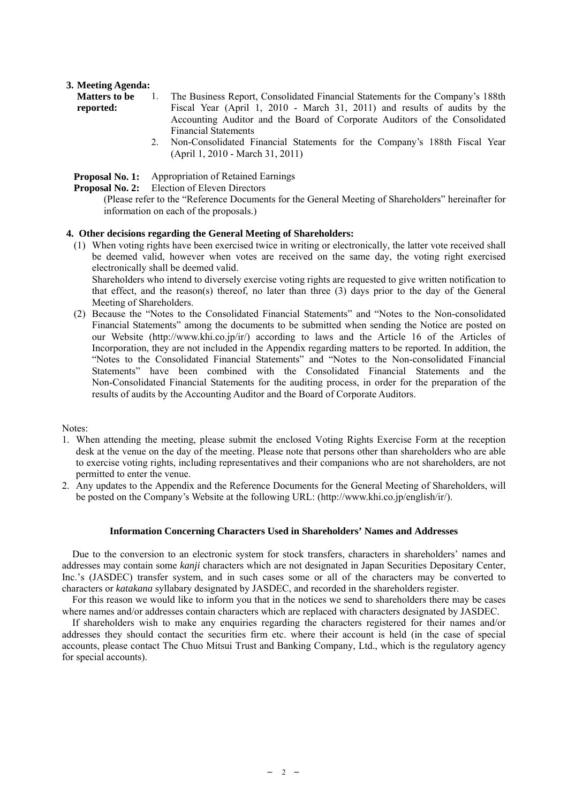## **3. Meeting Agenda:**

| <b>Matters to be</b> | The Business Report, Consolidated Financial Statements for the Company's 188th |
|----------------------|--------------------------------------------------------------------------------|
| reported:            | Fiscal Year (April 1, 2010 - March 31, 2011) and results of audits by the      |
|                      | Accounting Auditor and the Board of Corporate Auditors of the Consolidated     |
|                      | <b>Financial Statements</b>                                                    |
|                      | Non-Consolidated Financial Statements for the Company's 188th Fiscal Vear      |

 2. Non-Consolidated Financial Statements for the Company's 188th Fiscal Year (April 1, 2010 - March 31, 2011)

**Proposal No. 1:** Appropriation of Retained Earnings

**Proposal No. 2:** Election of Eleven Directors

(Please refer to the "Reference Documents for the General Meeting of Shareholders" hereinafter for information on each of the proposals.)

## **4. Other decisions regarding the General Meeting of Shareholders:**

(1) When voting rights have been exercised twice in writing or electronically, the latter vote received shall be deemed valid, however when votes are received on the same day, the voting right exercised electronically shall be deemed valid.

 Shareholders who intend to diversely exercise voting rights are requested to give written notification to that effect, and the reason(s) thereof, no later than three (3) days prior to the day of the General Meeting of Shareholders.

(2) Because the "Notes to the Consolidated Financial Statements" and "Notes to the Non-consolidated Financial Statements" among the documents to be submitted when sending the Notice are posted on our Website (http://www.khi.co.jp/ir/) according to laws and the Article 16 of the Articles of Incorporation, they are not included in the Appendix regarding matters to be reported. In addition, the "Notes to the Consolidated Financial Statements" and "Notes to the Non-consolidated Financial Statements" have been combined with the Consolidated Financial Statements and the Non-Consolidated Financial Statements for the auditing process, in order for the preparation of the results of audits by the Accounting Auditor and the Board of Corporate Auditors.

Notes:

- 1. When attending the meeting, please submit the enclosed Voting Rights Exercise Form at the reception desk at the venue on the day of the meeting. Please note that persons other than shareholders who are able to exercise voting rights, including representatives and their companions who are not shareholders, are not permitted to enter the venue.
- 2. Any updates to the Appendix and the Reference Documents for the General Meeting of Shareholders, will be posted on the Company's Website at the following URL: (http://www.khi.co.jp/english/ir/).

#### **Information Concerning Characters Used in Shareholders' Names and Addresses**

Due to the conversion to an electronic system for stock transfers, characters in shareholders' names and addresses may contain some *kanji* characters which are not designated in Japan Securities Depositary Center, Inc.'s (JASDEC) transfer system, and in such cases some or all of the characters may be converted to characters or *katakana* syllabary designated by JASDEC, and recorded in the shareholders register.

For this reason we would like to inform you that in the notices we send to shareholders there may be cases where names and/or addresses contain characters which are replaced with characters designated by JASDEC.

If shareholders wish to make any enquiries regarding the characters registered for their names and/or addresses they should contact the securities firm etc. where their account is held (in the case of special accounts, please contact The Chuo Mitsui Trust and Banking Company, Ltd., which is the regulatory agency for special accounts).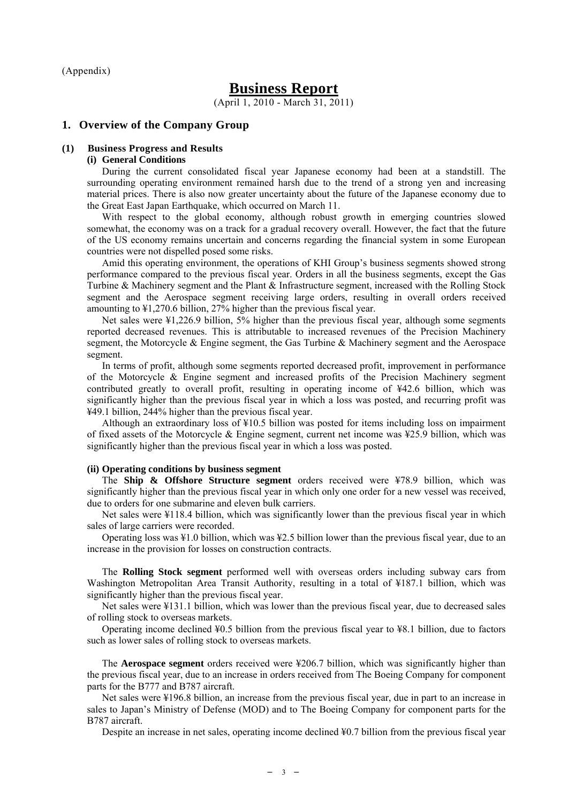(Appendix)

# **Business Report**

(April 1, 2010 - March 31, 2011)

#### **1. Overview of the Company Group**

#### **(1) Business Progress and Results**

#### **(i) General Conditions**

During the current consolidated fiscal year Japanese economy had been at a standstill. The surrounding operating environment remained harsh due to the trend of a strong yen and increasing material prices. There is also now greater uncertainty about the future of the Japanese economy due to the Great East Japan Earthquake, which occurred on March 11.

With respect to the global economy, although robust growth in emerging countries slowed somewhat, the economy was on a track for a gradual recovery overall. However, the fact that the future of the US economy remains uncertain and concerns regarding the financial system in some European countries were not dispelled posed some risks.

Amid this operating environment, the operations of KHI Group's business segments showed strong performance compared to the previous fiscal year. Orders in all the business segments, except the Gas Turbine & Machinery segment and the Plant & Infrastructure segment, increased with the Rolling Stock segment and the Aerospace segment receiving large orders, resulting in overall orders received amounting to ¥1,270.6 billion, 27% higher than the previous fiscal year.

Net sales were ¥1,226.9 billion, 5% higher than the previous fiscal year, although some segments reported decreased revenues. This is attributable to increased revenues of the Precision Machinery segment, the Motorcycle & Engine segment, the Gas Turbine & Machinery segment and the Aerospace segment.

In terms of profit, although some segments reported decreased profit, improvement in performance of the Motorcycle & Engine segment and increased profits of the Precision Machinery segment contributed greatly to overall profit, resulting in operating income of ¥42.6 billion, which was significantly higher than the previous fiscal year in which a loss was posted, and recurring profit was ¥49.1 billion, 244% higher than the previous fiscal year.

Although an extraordinary loss of ¥10.5 billion was posted for items including loss on impairment of fixed assets of the Motorcycle  $\&$  Engine segment, current net income was ¥25.9 billion, which was significantly higher than the previous fiscal year in which a loss was posted.

## **(ii) Operating conditions by business segment**

The **Ship & Offshore Structure segment** orders received were ¥78.9 billion, which was significantly higher than the previous fiscal year in which only one order for a new vessel was received, due to orders for one submarine and eleven bulk carriers.

Net sales were ¥118.4 billion, which was significantly lower than the previous fiscal year in which sales of large carriers were recorded.

Operating loss was ¥1.0 billion, which was ¥2.5 billion lower than the previous fiscal year, due to an increase in the provision for losses on construction contracts.

The **Rolling Stock segment** performed well with overseas orders including subway cars from Washington Metropolitan Area Transit Authority, resulting in a total of ¥187.1 billion, which was significantly higher than the previous fiscal year.

Net sales were ¥131.1 billion, which was lower than the previous fiscal year, due to decreased sales of rolling stock to overseas markets.

Operating income declined ¥0.5 billion from the previous fiscal year to ¥8.1 billion, due to factors such as lower sales of rolling stock to overseas markets.

The **Aerospace segment** orders received were ¥206.7 billion, which was significantly higher than the previous fiscal year, due to an increase in orders received from The Boeing Company for component parts for the B777 and B787 aircraft.

Net sales were ¥196.8 billion, an increase from the previous fiscal year, due in part to an increase in sales to Japan's Ministry of Defense (MOD) and to The Boeing Company for component parts for the B787 aircraft.

Despite an increase in net sales, operating income declined ¥0.7 billion from the previous fiscal year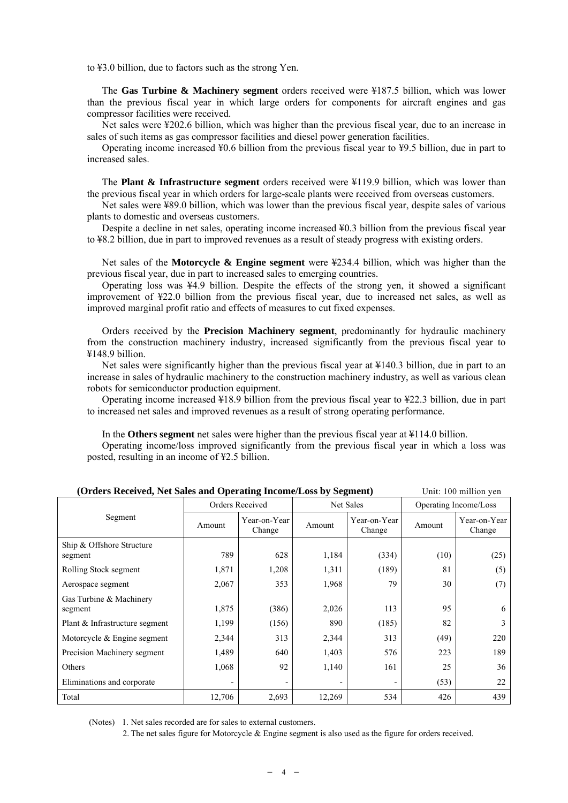to ¥3.0 billion, due to factors such as the strong Yen.

The **Gas Turbine & Machinery segment** orders received were ¥187.5 billion, which was lower than the previous fiscal year in which large orders for components for aircraft engines and gas compressor facilities were received.

Net sales were ¥202.6 billion, which was higher than the previous fiscal year, due to an increase in sales of such items as gas compressor facilities and diesel power generation facilities.

Operating income increased ¥0.6 billion from the previous fiscal year to ¥9.5 billion, due in part to increased sales.

The **Plant & Infrastructure segment** orders received were ¥119.9 billion, which was lower than the previous fiscal year in which orders for large-scale plants were received from overseas customers.

Net sales were ¥89.0 billion, which was lower than the previous fiscal year, despite sales of various plants to domestic and overseas customers.

Despite a decline in net sales, operating income increased ¥0.3 billion from the previous fiscal year to ¥8.2 billion, due in part to improved revenues as a result of steady progress with existing orders.

Net sales of the **Motorcycle & Engine segment** were ¥234.4 billion, which was higher than the previous fiscal year, due in part to increased sales to emerging countries.

Operating loss was ¥4.9 billion. Despite the effects of the strong yen, it showed a significant improvement of ¥22.0 billion from the previous fiscal year, due to increased net sales, as well as improved marginal profit ratio and effects of measures to cut fixed expenses.

Orders received by the **Precision Machinery segment**, predominantly for hydraulic machinery from the construction machinery industry, increased significantly from the previous fiscal year to ¥148.9 billion.

Net sales were significantly higher than the previous fiscal year at ¥140.3 billion, due in part to an increase in sales of hydraulic machinery to the construction machinery industry, as well as various clean robots for semiconductor production equipment.

Operating income increased ¥18.9 billion from the previous fiscal year to ¥22.3 billion, due in part to increased net sales and improved revenues as a result of strong operating performance.

In the **Others segment** net sales were higher than the previous fiscal year at ¥114.0 billion.

Operating income/loss improved significantly from the previous fiscal year in which a loss was posted, resulting in an income of ¥2.5 billion.

| (Orders Keeerved, Net baies and Operating Income/Loss by Beginem) |                 |                        |           |                        |                       | UTHE TOO HIIHIUH YUH   |
|-------------------------------------------------------------------|-----------------|------------------------|-----------|------------------------|-----------------------|------------------------|
|                                                                   | Orders Received |                        | Net Sales |                        | Operating Income/Loss |                        |
| Segment                                                           | Amount          | Year-on-Year<br>Change | Amount    | Year-on-Year<br>Change | Amount                | Year-on-Year<br>Change |
| Ship & Offshore Structure<br>segment                              | 789             | 628                    | 1,184     | (334)                  | (10)                  | (25)                   |
| Rolling Stock segment                                             | 1,871           | 1,208                  | 1,311     | (189)                  | 81                    | (5)                    |
| Aerospace segment                                                 | 2,067           | 353                    | 1,968     | 79                     | 30                    | (7)                    |
| Gas Turbine & Machinery<br>segment                                | 1,875           | (386)                  | 2,026     | 113                    | 95                    | 6                      |
| Plant & Infrastructure segment                                    | 1,199           | (156)                  | 890       | (185)                  | 82                    | 3                      |
| Motorcycle $&$ Engine segment                                     | 2,344           | 313                    | 2,344     | 313                    | (49)                  | 220                    |
| Precision Machinery segment                                       | 1,489           | 640                    | 1,403     | 576                    | 223                   | 189                    |
| Others                                                            | 1,068           | 92                     | 1,140     | 161                    | 25                    | 36                     |
| Eliminations and corporate                                        |                 |                        |           |                        | (53)                  | 22                     |
| Total                                                             | 12,706          | 2,693                  | 12,269    | 534                    | 426                   | 439                    |

#### **(Orders Received, Net Sales and Operating Income/Loss by Segment)** Unit: 100 million yen

(Notes) 1. Net sales recorded are for sales to external customers.

2. The net sales figure for Motorcycle & Engine segment is also used as the figure for orders received.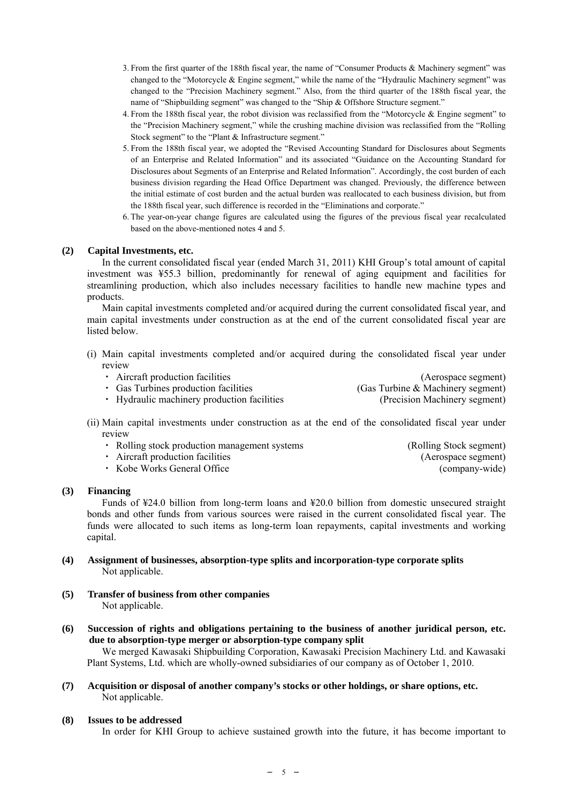- 3. From the first quarter of the 188th fiscal year, the name of "Consumer Products & Machinery segment" was changed to the "Motorcycle & Engine segment," while the name of the "Hydraulic Machinery segment" was changed to the "Precision Machinery segment." Also, from the third quarter of the 188th fiscal year, the name of "Shipbuilding segment" was changed to the "Ship & Offshore Structure segment."
- 4. From the 188th fiscal year, the robot division was reclassified from the "Motorcycle & Engine segment" to the "Precision Machinery segment," while the crushing machine division was reclassified from the "Rolling Stock segment" to the "Plant & Infrastructure segment."
- 5. From the 188th fiscal year, we adopted the "Revised Accounting Standard for Disclosures about Segments of an Enterprise and Related Information" and its associated "Guidance on the Accounting Standard for Disclosures about Segments of an Enterprise and Related Information". Accordingly, the cost burden of each business division regarding the Head Office Department was changed. Previously, the difference between the initial estimate of cost burden and the actual burden was reallocated to each business division, but from the 188th fiscal year, such difference is recorded in the "Eliminations and corporate."
- 6. The year-on-year change figures are calculated using the figures of the previous fiscal year recalculated based on the above-mentioned notes 4 and 5.

#### **(2) Capital Investments, etc.**

In the current consolidated fiscal year (ended March 31, 2011) KHI Group's total amount of capital investment was ¥55.3 billion, predominantly for renewal of aging equipment and facilities for streamlining production, which also includes necessary facilities to handle new machine types and products.

Main capital investments completed and/or acquired during the current consolidated fiscal year, and main capital investments under construction as at the end of the current consolidated fiscal year are listed below.

(i) Main capital investments completed and/or acquired during the consolidated fiscal year under review

| • Aircraft production facilities            | (Aerospace segment)               |
|---------------------------------------------|-----------------------------------|
| • Gas Turbines production facilities        | (Gas Turbine & Machinery segment) |
| • Hydraulic machinery production facilities | (Precision Machinery segment)     |

(ii) Main capital investments under construction as at the end of the consolidated fiscal year under review

| • Rolling stock production management systems | (Rolling Stock segment) |
|-----------------------------------------------|-------------------------|
| • Aircraft production facilities              | (Aerospace segment)     |
| • Kobe Works General Office                   | (company-wide)          |

#### **(3) Financing**

Funds of ¥24.0 billion from long-term loans and ¥20.0 billion from domestic unsecured straight bonds and other funds from various sources were raised in the current consolidated fiscal year. The funds were allocated to such items as long-term loan repayments, capital investments and working capital.

- **(4) Assignment of businesses, absorption-type splits and incorporation-type corporate splits**  Not applicable.
- **(5) Transfer of business from other companies**  Not applicable.
- **(6) Succession of rights and obligations pertaining to the business of another juridical person, etc. due to absorption-type merger or absorption-type company split**

We merged Kawasaki Shipbuilding Corporation, Kawasaki Precision Machinery Ltd. and Kawasaki Plant Systems, Ltd. which are wholly-owned subsidiaries of our company as of October 1, 2010.

**(7) Acquisition or disposal of another company's stocks or other holdings, or share options, etc.**  Not applicable.

#### **(8) Issues to be addressed**

In order for KHI Group to achieve sustained growth into the future, it has become important to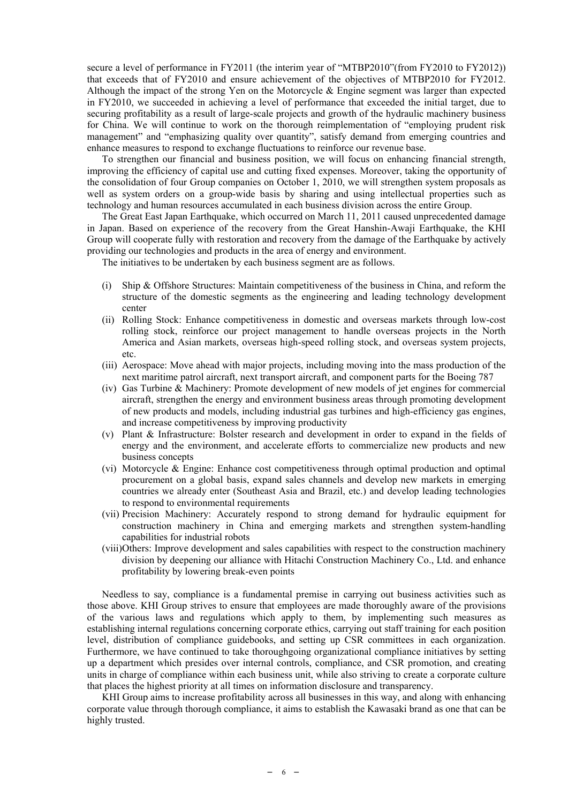secure a level of performance in FY2011 (the interim year of "MTBP2010" (from FY2010 to FY2012)) that exceeds that of FY2010 and ensure achievement of the objectives of MTBP2010 for FY2012. Although the impact of the strong Yen on the Motorcycle  $\&$  Engine segment was larger than expected in FY2010, we succeeded in achieving a level of performance that exceeded the initial target, due to securing profitability as a result of large-scale projects and growth of the hydraulic machinery business for China. We will continue to work on the thorough reimplementation of "employing prudent risk management" and "emphasizing quality over quantity", satisfy demand from emerging countries and enhance measures to respond to exchange fluctuations to reinforce our revenue base.

To strengthen our financial and business position, we will focus on enhancing financial strength, improving the efficiency of capital use and cutting fixed expenses. Moreover, taking the opportunity of the consolidation of four Group companies on October 1, 2010, we will strengthen system proposals as well as system orders on a group-wide basis by sharing and using intellectual properties such as technology and human resources accumulated in each business division across the entire Group.

The Great East Japan Earthquake, which occurred on March 11, 2011 caused unprecedented damage in Japan. Based on experience of the recovery from the Great Hanshin-Awaji Earthquake, the KHI Group will cooperate fully with restoration and recovery from the damage of the Earthquake by actively providing our technologies and products in the area of energy and environment.

The initiatives to be undertaken by each business segment are as follows.

- (i) Ship & Offshore Structures: Maintain competitiveness of the business in China, and reform the structure of the domestic segments as the engineering and leading technology development center
- (ii) Rolling Stock: Enhance competitiveness in domestic and overseas markets through low-cost rolling stock, reinforce our project management to handle overseas projects in the North America and Asian markets, overseas high-speed rolling stock, and overseas system projects, etc.
- (iii) Aerospace: Move ahead with major projects, including moving into the mass production of the next maritime patrol aircraft, next transport aircraft, and component parts for the Boeing 787
- (iv) Gas Turbine & Machinery: Promote development of new models of jet engines for commercial aircraft, strengthen the energy and environment business areas through promoting development of new products and models, including industrial gas turbines and high-efficiency gas engines, and increase competitiveness by improving productivity
- (v) Plant & Infrastructure: Bolster research and development in order to expand in the fields of energy and the environment, and accelerate efforts to commercialize new products and new business concepts
- (vi) Motorcycle & Engine: Enhance cost competitiveness through optimal production and optimal procurement on a global basis, expand sales channels and develop new markets in emerging countries we already enter (Southeast Asia and Brazil, etc.) and develop leading technologies to respond to environmental requirements
- (vii) Precision Machinery: Accurately respond to strong demand for hydraulic equipment for construction machinery in China and emerging markets and strengthen system-handling capabilities for industrial robots
- (viii)Others: Improve development and sales capabilities with respect to the construction machinery division by deepening our alliance with Hitachi Construction Machinery Co., Ltd. and enhance profitability by lowering break-even points

Needless to say, compliance is a fundamental premise in carrying out business activities such as those above. KHI Group strives to ensure that employees are made thoroughly aware of the provisions of the various laws and regulations which apply to them, by implementing such measures as establishing internal regulations concerning corporate ethics, carrying out staff training for each position level, distribution of compliance guidebooks, and setting up CSR committees in each organization. Furthermore, we have continued to take thoroughgoing organizational compliance initiatives by setting up a department which presides over internal controls, compliance, and CSR promotion, and creating units in charge of compliance within each business unit, while also striving to create a corporate culture that places the highest priority at all times on information disclosure and transparency.

KHI Group aims to increase profitability across all businesses in this way, and along with enhancing corporate value through thorough compliance, it aims to establish the Kawasaki brand as one that can be highly trusted.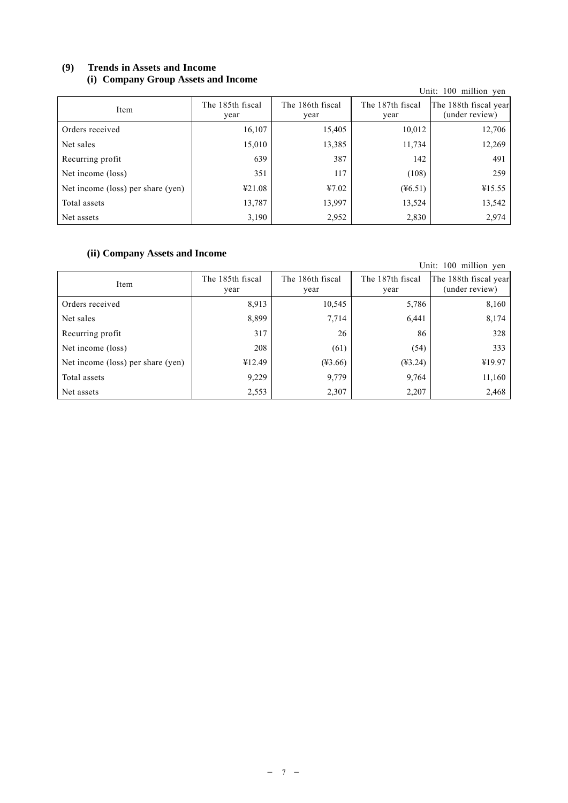# **(9) Trends in Assets and Income (i) Company Group Assets and Income**

| $\sim$ $\prime$                   |                          |                          |                          | Unit: 100 million yen                   |
|-----------------------------------|--------------------------|--------------------------|--------------------------|-----------------------------------------|
| Item                              | The 185th fiscal<br>year | The 186th fiscal<br>year | The 187th fiscal<br>year | The 188th fiscal year<br>(under review) |
| Orders received                   | 16,107                   | 15,405                   | 10,012                   | 12,706                                  |
| Net sales                         | 15,010                   | 13,385                   | 11,734                   | 12,269                                  |
| Recurring profit                  | 639                      | 387                      | 142                      | 491                                     |
| Net income (loss)                 | 351                      | 117                      | (108)                    | 259                                     |
| Net income (loss) per share (yen) | 421.08                   | 47.02                    | $(\frac{46.51}{3})$      | 415.55                                  |
| Total assets                      | 13,787                   | 13,997                   | 13,524                   | 13,542                                  |
| Net assets                        | 3,190                    | 2,952                    | 2,830                    | 2,974                                   |

# **(ii) Company Assets and Income**

| (II) Company Assets and Income    |                          |                          |                          | Unit: 100 million yen                   |
|-----------------------------------|--------------------------|--------------------------|--------------------------|-----------------------------------------|
| Item                              | The 185th fiscal<br>year | The 186th fiscal<br>year | The 187th fiscal<br>year | The 188th fiscal year<br>(under review) |
| Orders received                   | 8,913                    | 10,545                   | 5,786                    | 8,160                                   |
| Net sales                         | 8,899                    | 7,714                    | 6,441                    | 8,174                                   |
| Recurring profit                  | 317                      | 26                       | 86                       | 328                                     |
| Net income (loss)                 | 208                      | (61)                     | (54)                     | 333                                     |
| Net income (loss) per share (yen) | ¥12.49                   | $(*3.66)$                | $(*3.24)$                | ¥19.97                                  |
| Total assets                      | 9,229                    | 9,779                    | 9,764                    | 11,160                                  |
| Net assets                        | 2,553                    | 2,307                    | 2,207                    | 2,468                                   |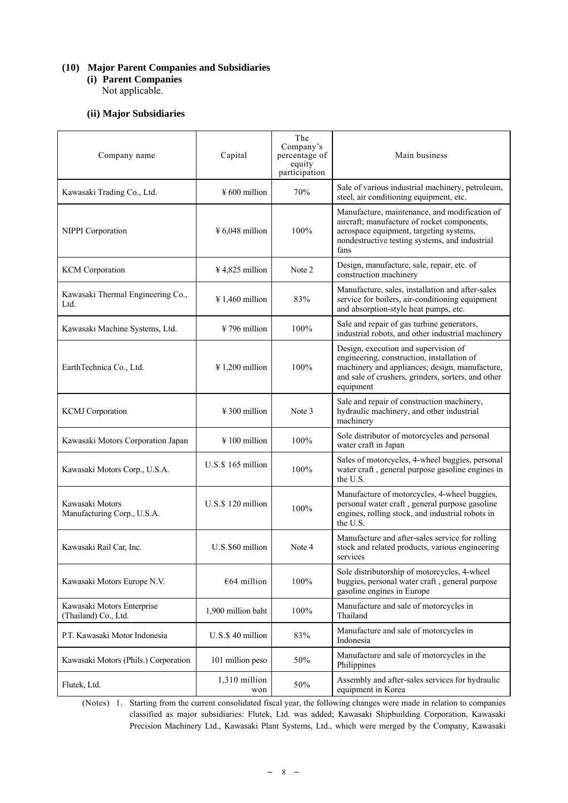# **(10) Major Parent Companies and Subsidiaries**

**(i) Parent Companies** 

Not applicable.

# **(ii) Major Subsidiaries**

| Company name                                       | Capital                     | The<br>Company's<br>percentage of<br>equity<br>participation | Main business                                                                                                                                                                                           |
|----------------------------------------------------|-----------------------------|--------------------------------------------------------------|---------------------------------------------------------------------------------------------------------------------------------------------------------------------------------------------------------|
| Kawasaki Trading Co., Ltd.                         | $\frac{1}{2}600$ million    | 70%                                                          | Sale of various industrial machinery, petroleum,<br>steel, air conditioning equipment, etc.                                                                                                             |
| NIPPI Corporation                                  | $¥ 6,048$ million           | 100%                                                         | Manufacture, maintenance, and modification of<br>aircraft; manufacture of rocket components,<br>aerospace equipment, targeting systems,<br>nondestructive testing systems, and industrial<br>fans       |
| <b>KCM</b> Corporation                             | $4,825$ million             | Note 2                                                       | Design, manufacture, sale, repair, etc. of<br>construction machinery                                                                                                                                    |
| Kawasaki Thermal Engineering Co.,<br>Ltd.          | $\frac{1}{4}$ 1,460 million | 83%                                                          | Manufacture, sales, installation and after-sales<br>service for boilers, air-conditioning equipment<br>and absorption-style heat pumps, etc.                                                            |
| Kawasaki Machine Systems, Ltd.                     | $\frac{1}{2}$ 796 million   | 100%                                                         | Sale and repair of gas turbine generators,<br>industrial robots, and other industrial machinery                                                                                                         |
| EarthTechnica Co., Ltd.                            | $\frac{1}{200}$ million     | 100%                                                         | Design, execution and supervision of<br>engineering, construction, installation of<br>machinery and appliances; design, manufacture,<br>and sale of crushers, grinders, sorters, and other<br>equipment |
| <b>KCMJ</b> Corporation                            | $\frac{1}{2}$ 300 million   | Note 3                                                       | Sale and repair of construction machinery,<br>hydraulic machinery, and other industrial<br>machinery                                                                                                    |
| Kawasaki Motors Corporation Japan                  | $\frac{1}{2}$ 100 million   | 100%                                                         | Sole distributor of motorcycles and personal<br>water craft in Japan                                                                                                                                    |
| Kawasaki Motors Corp., U.S.A.                      | U.S.\$ 165 million          | 100%                                                         | Sales of motorcycles, 4-wheel buggies, personal<br>water craft, general purpose gasoline engines in<br>the U.S.                                                                                         |
| Kawasaki Motors<br>Manufacturing Corp., U.S.A.     | U.S.\$ 120 million          | 100%                                                         | Manufacture of motorcycles, 4-wheel buggies,<br>personal water craft, general purpose gasoline<br>engines, rolling stock, and industrial robots in<br>the U.S.                                          |
| Kawasaki Rail Car, Inc.                            | U.S.\$60 million            | Note 4                                                       | Manufacture and after-sales service for rolling<br>stock and related products, various engineering<br>services                                                                                          |
| Kawasaki Motors Europe N.V.                        | €64 million                 | 100%                                                         | Sole distributorship of motorcycles, 4-wheel<br>buggies, personal water craft, general purpose<br>gasoline engines in Europe                                                                            |
| Kawasaki Motors Enterprise<br>(Thailand) Co., Ltd. | 1,900 million baht          | 100%                                                         | Manufacture and sale of motorcycles in<br>Thailand                                                                                                                                                      |
| P.T. Kawasaki Motor Indonesia                      | U.S.\$40 million            | 83%                                                          | Manufacture and sale of motorcycles in<br>Indonesia                                                                                                                                                     |
| Kawasaki Motors (Phils.) Corporation               | 101 million peso            | 50%                                                          | Manufacture and sale of motorcycles in the<br>Philippines                                                                                                                                               |
| Flutek, Ltd.                                       | 1,310 million<br>won        | 50%                                                          | Assembly and after-sales services for hydraulic<br>equipment in Korea                                                                                                                                   |

(Notes) 1. Starting from the current consolidated fiscal year, the following changes were made in relation to companies classified as major subsidiaries: Flutek, Ltd. was added; Kawasaki Shipbuilding Corporation, Kawasaki Precision Machinery Ltd., Kawasaki Plant Systems, Ltd., which were merged by the Company, Kawasaki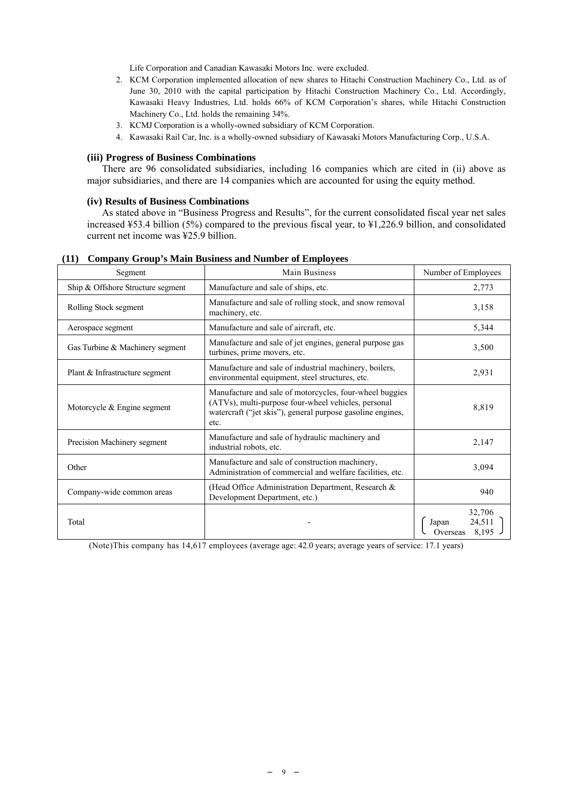Life Corporation and Canadian Kawasaki Motors Inc. were excluded.

- 2. KCM Corporation implemented allocation of new shares to Hitachi Construction Machinery Co., Ltd. as of June 30, 2010 with the capital participation by Hitachi Construction Machinery Co., Ltd. Accordingly, Kawasaki Heavy Industries, Ltd. holds 66% of KCM Corporation's shares, while Hitachi Construction Machinery Co., Ltd. holds the remaining 34%.
- 3. KCMJ Corporation is a wholly-owned subsidiary of KCM Corporation.
- 4. Kawasaki Rail Car, Inc. is a wholly-owned subsidiary of Kawasaki Motors Manufacturing Corp., U.S.A.

#### **(iii) Progress of Business Combinations**

There are 96 consolidated subsidiaries, including 16 companies which are cited in (ii) above as major subsidiaries, and there are 14 companies which are accounted for using the equity method.

#### **(iv) Results of Business Combinations**

As stated above in "Business Progress and Results", for the current consolidated fiscal year net sales increased ¥53.4 billion (5%) compared to the previous fiscal year, to ¥1,226.9 billion, and consolidated current net income was ¥25.9 billion.

| Segment                           | Main Business                                                                                                                                                                        | Number of Employees                            |
|-----------------------------------|--------------------------------------------------------------------------------------------------------------------------------------------------------------------------------------|------------------------------------------------|
| Ship & Offshore Structure segment | Manufacture and sale of ships, etc.                                                                                                                                                  | 2,773                                          |
| Rolling Stock segment             | Manufacture and sale of rolling stock, and snow removal<br>machinery, etc.                                                                                                           | 3,158                                          |
| Aerospace segment                 | Manufacture and sale of aircraft, etc.                                                                                                                                               | 5,344                                          |
| Gas Turbine & Machinery segment   | Manufacture and sale of jet engines, general purpose gas<br>turbines, prime movers, etc.                                                                                             | 3,500                                          |
| Plant & Infrastructure segment    | Manufacture and sale of industrial machinery, boilers,<br>environmental equipment, steel structures, etc.                                                                            | 2,931                                          |
| Motorcycle & Engine segment       | Manufacture and sale of motorcycles, four-wheel buggies<br>(ATVs), multi-purpose four-wheel vehicles, personal<br>watercraft ("jet skis"), general purpose gasoline engines,<br>etc. | 8,819                                          |
| Precision Machinery segment       | Manufacture and sale of hydraulic machinery and<br>industrial robots, etc.                                                                                                           | 2,147                                          |
| Other                             | Manufacture and sale of construction machinery,<br>Administration of commercial and welfare facilities, etc.                                                                         | 3,094                                          |
| Company-wide common areas         | (Head Office Administration Department, Research &<br>Development Department, etc.)                                                                                                  | 940                                            |
| Total                             |                                                                                                                                                                                      | 32,706<br>24,511<br>Japan<br>8,195<br>Overseas |

#### **(11) Company Group's Main Business and Number of Employees**

(Note)This company has 14,617 employees (average age: 42.0 years; average years of service: 17.1 years)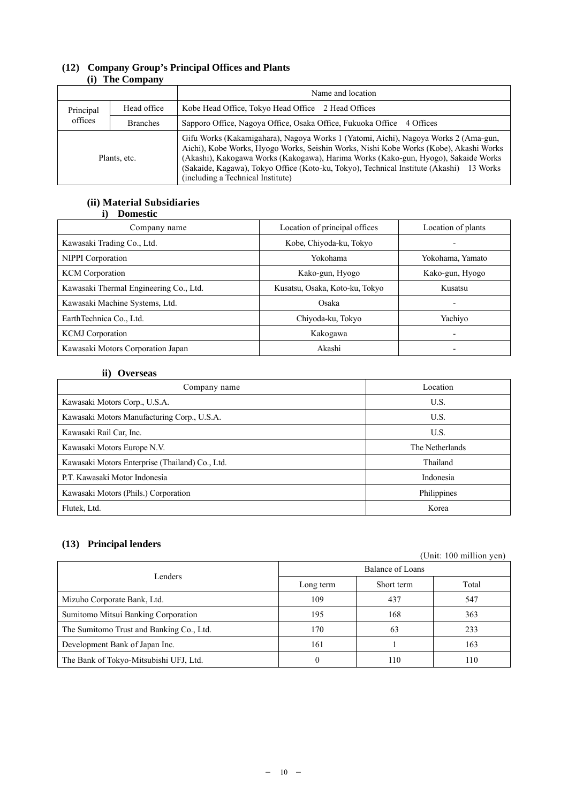|           |                 | Name and location                                                                                                                                                                                                                                                                                                                                                                                  |
|-----------|-----------------|----------------------------------------------------------------------------------------------------------------------------------------------------------------------------------------------------------------------------------------------------------------------------------------------------------------------------------------------------------------------------------------------------|
| Principal | Head office     | Kobe Head Office, Tokyo Head Office 2 Head Offices                                                                                                                                                                                                                                                                                                                                                 |
| offices   | <b>Branches</b> | Sapporo Office, Nagoya Office, Osaka Office, Fukuoka Office 4 Offices                                                                                                                                                                                                                                                                                                                              |
|           | Plants, etc.    | Gifu Works (Kakamigahara), Nagoya Works 1 (Yatomi, Aichi), Nagoya Works 2 (Ama-gun,<br>Aichi), Kobe Works, Hyogo Works, Seishin Works, Nishi Kobe Works (Kobe), Akashi Works<br>(Akashi), Kakogawa Works (Kakogawa), Harima Works (Kako-gun, Hyogo), Sakaide Works<br>(Sakaide, Kagawa), Tokyo Office (Koto-ku, Tokyo), Technical Institute (Akashi) 13 Works<br>(including a Technical Institute) |

# **(12) Company Group's Principal Offices and Plants (i) The Company**

# **(ii) Material Subsidiaries i) Domestic**

| Company name                           | Location of principal offices  | Location of plants       |
|----------------------------------------|--------------------------------|--------------------------|
| Kawasaki Trading Co., Ltd.             | Kobe, Chiyoda-ku, Tokyo        | ٠                        |
| NIPPI Corporation                      | Yokohama                       | Yokohama, Yamato         |
| <b>KCM</b> Corporation                 | Kako-gun, Hyogo                | Kako-gun, Hyogo          |
| Kawasaki Thermal Engineering Co., Ltd. | Kusatsu, Osaka, Koto-ku, Tokyo | Kusatsu                  |
| Kawasaki Machine Systems, Ltd.         | Osaka                          | ٠                        |
| EarthTechnica Co., Ltd.                | Chiyoda-ku, Tokyo              | Yachiyo                  |
| <b>KCMJ</b> Corporation                | Kakogawa                       | $\overline{\phantom{0}}$ |
| Kawasaki Motors Corporation Japan      | Akashi                         | $\overline{\phantom{0}}$ |

# **ii) Overseas**

| Company name                                    | Location        |
|-------------------------------------------------|-----------------|
| Kawasaki Motors Corp., U.S.A.                   | U.S.            |
| Kawasaki Motors Manufacturing Corp., U.S.A.     | U.S.            |
| Kawasaki Rail Car, Inc.                         | U.S.            |
| Kawasaki Motors Europe N.V.                     | The Netherlands |
| Kawasaki Motors Enterprise (Thailand) Co., Ltd. | Thailand        |
| P.T. Kawasaki Motor Indonesia                   | Indonesia       |
| Kawasaki Motors (Phils.) Corporation            | Philippines     |
| Flutek, Ltd.                                    | Korea           |

# **(13) Principal lenders**

| Lenders                                  | Balance of Loans |            |     |  |
|------------------------------------------|------------------|------------|-----|--|
|                                          | Long term        | Short term |     |  |
| Mizuho Corporate Bank, Ltd.              | 109              | 437        | 547 |  |
| Sumitomo Mitsui Banking Corporation      | 195              | 168        | 363 |  |
| The Sumitomo Trust and Banking Co., Ltd. | 170              | 63         | 233 |  |
| Development Bank of Japan Inc.           | 161              |            | 163 |  |
| The Bank of Tokyo-Mitsubishi UFJ, Ltd.   |                  | 110        | 110 |  |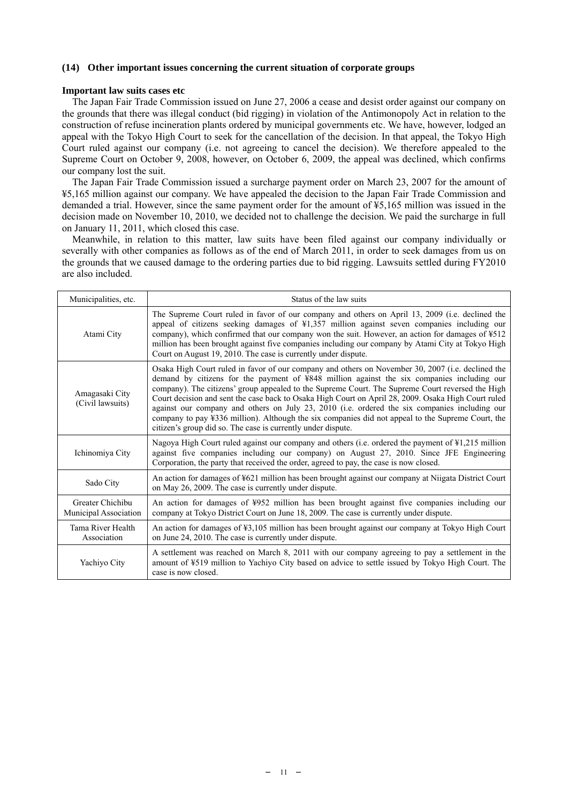## **(14) Other important issues concerning the current situation of corporate groups**

#### **Important law suits cases etc**

The Japan Fair Trade Commission issued on June 27, 2006 a cease and desist order against our company on the grounds that there was illegal conduct (bid rigging) in violation of the Antimonopoly Act in relation to the construction of refuse incineration plants ordered by municipal governments etc. We have, however, lodged an appeal with the Tokyo High Court to seek for the cancellation of the decision. In that appeal, the Tokyo High Court ruled against our company (i.e. not agreeing to cancel the decision). We therefore appealed to the Supreme Court on October 9, 2008, however, on October 6, 2009, the appeal was declined, which confirms our company lost the suit.

The Japan Fair Trade Commission issued a surcharge payment order on March 23, 2007 for the amount of ¥5,165 million against our company. We have appealed the decision to the Japan Fair Trade Commission and demanded a trial. However, since the same payment order for the amount of ¥5,165 million was issued in the decision made on November 10, 2010, we decided not to challenge the decision. We paid the surcharge in full on January 11, 2011, which closed this case.

Meanwhile, in relation to this matter, law suits have been filed against our company individually or severally with other companies as follows as of the end of March 2011, in order to seek damages from us on the grounds that we caused damage to the ordering parties due to bid rigging. Lawsuits settled during FY2010 are also included.

| Municipalities, etc.                      | Status of the law suits                                                                                                                                                                                                                                                                                                                                                                                                                                                                                                                                                                                                                                                          |
|-------------------------------------------|----------------------------------------------------------------------------------------------------------------------------------------------------------------------------------------------------------------------------------------------------------------------------------------------------------------------------------------------------------------------------------------------------------------------------------------------------------------------------------------------------------------------------------------------------------------------------------------------------------------------------------------------------------------------------------|
| Atami City                                | The Supreme Court ruled in favor of our company and others on April 13, 2009 (i.e. declined the<br>appeal of citizens seeking damages of ¥1,357 million against seven companies including our<br>company), which confirmed that our company won the suit. However, an action for damages of ¥512<br>million has been brought against five companies including our company by Atami City at Tokyo High<br>Court on August 19, 2010. The case is currently under dispute.                                                                                                                                                                                                          |
| Amagasaki City<br>(Civil lawsuits)        | Osaka High Court ruled in favor of our company and others on November 30, 2007 (i.e. declined the<br>demand by citizens for the payment of ¥848 million against the six companies including our<br>company). The citizens' group appealed to the Supreme Court. The Supreme Court reversed the High<br>Court decision and sent the case back to Osaka High Court on April 28, 2009. Osaka High Court ruled<br>against our company and others on July 23, 2010 (i.e. ordered the six companies including our<br>company to pay ¥336 million). Although the six companies did not appeal to the Supreme Court, the<br>citizen's group did so. The case is currently under dispute. |
| Ichinomiya City                           | Nagoya High Court ruled against our company and others (i.e. ordered the payment of ¥1,215 million<br>against five companies including our company) on August 27, 2010. Since JFE Engineering<br>Corporation, the party that received the order, agreed to pay, the case is now closed.                                                                                                                                                                                                                                                                                                                                                                                          |
| Sado City                                 | An action for damages of ¥621 million has been brought against our company at Niigata District Court<br>on May 26, 2009. The case is currently under dispute.                                                                                                                                                                                                                                                                                                                                                                                                                                                                                                                    |
| Greater Chichibu<br>Municipal Association | An action for damages of ¥952 million has been brought against five companies including our<br>company at Tokyo District Court on June 18, 2009. The case is currently under dispute.                                                                                                                                                                                                                                                                                                                                                                                                                                                                                            |
| Tama River Health<br>Association          | An action for damages of ¥3,105 million has been brought against our company at Tokyo High Court<br>on June 24, 2010. The case is currently under dispute.                                                                                                                                                                                                                                                                                                                                                                                                                                                                                                                       |
| Yachiyo City                              | A settlement was reached on March 8, 2011 with our company agreeing to pay a settlement in the<br>amount of ¥519 million to Yachiyo City based on advice to settle issued by Tokyo High Court. The<br>case is now closed.                                                                                                                                                                                                                                                                                                                                                                                                                                                        |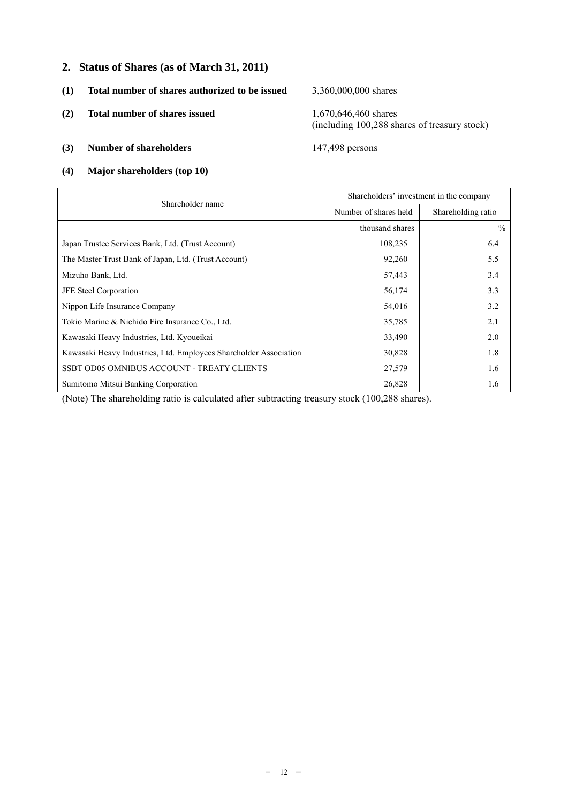# **2. Status of Shares (as of March 31, 2011)**

- **(1) Total number of shares authorized to be issued** 3,360,000,000 shares
- **(2) Total number of shares issued** 1,670,646,460 shares

(including 100,288 shares of treasury stock)

- **(3) Number of shareholders** 147,498 persons
- **(4) Major shareholders (top 10)**

| Shareholder name                                                  | Shareholders' investment in the company |                    |  |  |
|-------------------------------------------------------------------|-----------------------------------------|--------------------|--|--|
|                                                                   | Number of shares held                   | Shareholding ratio |  |  |
|                                                                   | thousand shares                         | $\frac{0}{0}$      |  |  |
| Japan Trustee Services Bank, Ltd. (Trust Account)                 | 108,235                                 | 6.4                |  |  |
| The Master Trust Bank of Japan, Ltd. (Trust Account)              | 92,260                                  | 5.5                |  |  |
| Mizuho Bank, Ltd.                                                 | 57,443                                  | 3.4                |  |  |
| <b>JFE</b> Steel Corporation                                      | 56,174                                  | 3.3                |  |  |
| Nippon Life Insurance Company                                     | 54,016                                  | 3.2                |  |  |
| Tokio Marine & Nichido Fire Insurance Co., Ltd.                   | 35,785                                  | 2.1                |  |  |
| Kawasaki Heavy Industries, Ltd. Kyoueikai                         | 33,490                                  | 2.0                |  |  |
| Kawasaki Heavy Industries, Ltd. Employees Shareholder Association | 30,828                                  | 1.8                |  |  |
| SSBT OD05 OMNIBUS ACCOUNT - TREATY CLIENTS                        | 27,579                                  | 1.6                |  |  |
| Sumitomo Mitsui Banking Corporation                               | 26,828                                  | 1.6                |  |  |

(Note) The shareholding ratio is calculated after subtracting treasury stock (100,288 shares).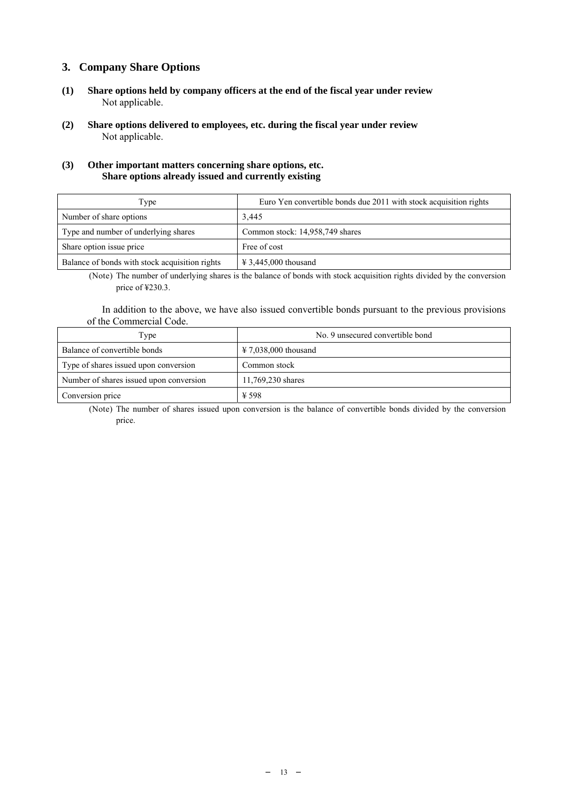# **3. Company Share Options**

- **(1) Share options held by company officers at the end of the fiscal year under review** Not applicable.
- **(2) Share options delivered to employees, etc. during the fiscal year under review** Not applicable.

## **(3) Other important matters concerning share options, etc. Share options already issued and currently existing**

| Type                                           | Euro Yen convertible bonds due 2011 with stock acquisition rights |
|------------------------------------------------|-------------------------------------------------------------------|
| Number of share options                        | 3,445                                                             |
| Type and number of underlying shares           | Common stock: 14,958,749 shares                                   |
| Share option issue price                       | Free of cost                                                      |
| Balance of bonds with stock acquisition rights | $\text{\textsterling} 3,445,000$ thousand                         |

(Note) The number of underlying shares is the balance of bonds with stock acquisition rights divided by the conversion price of ¥230.3.

In addition to the above, we have also issued convertible bonds pursuant to the previous provisions of the Commercial Code.

| l'ype                                   | No. 9 unsecured convertible bond          |
|-----------------------------------------|-------------------------------------------|
| Balance of convertible bonds            | $\text{\textsterling} 7.038,000$ thousand |
| Type of shares issued upon conversion   | Common stock                              |
| Number of shares issued upon conversion | 11,769,230 shares                         |
| Conversion price                        | ¥ 598                                     |

(Note) The number of shares issued upon conversion is the balance of convertible bonds divided by the conversion price.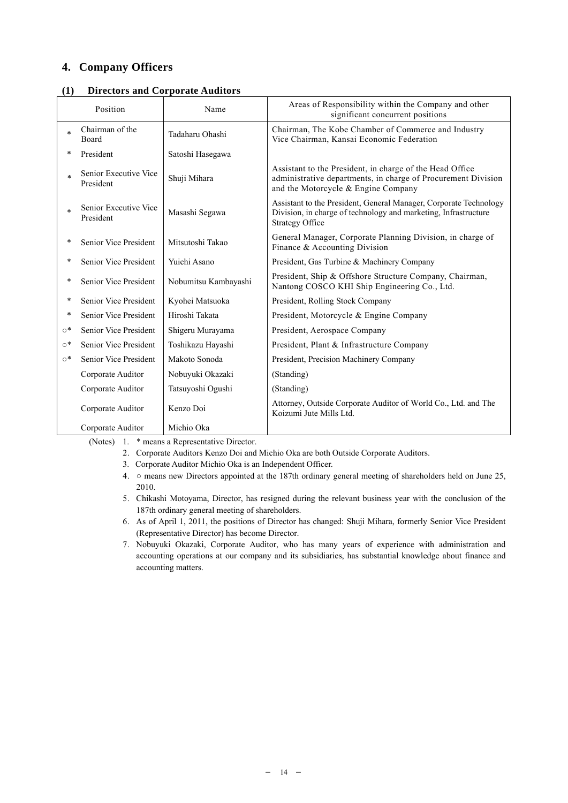# **4. Company Officers**

|           | Position                           | Name                 | Areas of Responsibility within the Company and other<br>significant concurrent positions                                                                         |
|-----------|------------------------------------|----------------------|------------------------------------------------------------------------------------------------------------------------------------------------------------------|
| $\ast$    | Chairman of the<br>Board           | Tadaharu Ohashi      | Chairman, The Kobe Chamber of Commerce and Industry<br>Vice Chairman, Kansai Economic Federation                                                                 |
| *         | President                          | Satoshi Hasegawa     |                                                                                                                                                                  |
|           | Senior Executive Vice<br>President | Shuji Mihara         | Assistant to the President, in charge of the Head Office<br>administrative departments, in charge of Procurement Division<br>and the Motorcycle & Engine Company |
|           | Senior Executive Vice<br>President | Masashi Segawa       | Assistant to the President, General Manager, Corporate Technology<br>Division, in charge of technology and marketing, Infrastructure<br><b>Strategy Office</b>   |
|           | Senior Vice President              | Mitsutoshi Takao     | General Manager, Corporate Planning Division, in charge of<br>Finance & Accounting Division                                                                      |
| *         | Senior Vice President              | Yuichi Asano         | President, Gas Turbine & Machinery Company                                                                                                                       |
|           | Senior Vice President              | Nobumitsu Kambayashi | President, Ship & Offshore Structure Company, Chairman,<br>Nantong COSCO KHI Ship Engineering Co., Ltd.                                                          |
| *         | Senior Vice President              | Kyohei Matsuoka      | President, Rolling Stock Company                                                                                                                                 |
| $\ast$    | Senior Vice President              | Hiroshi Takata       | President, Motorcycle & Engine Company                                                                                                                           |
| $\circ^*$ | Senior Vice President              | Shigeru Murayama     | President, Aerospace Company                                                                                                                                     |
| $\circ^*$ | Senior Vice President              | Toshikazu Hayashi    | President, Plant & Infrastructure Company                                                                                                                        |
| $\circ^*$ | Senior Vice President              | Makoto Sonoda        | President, Precision Machinery Company                                                                                                                           |
|           | Corporate Auditor                  | Nobuyuki Okazaki     | (Standing)                                                                                                                                                       |
|           | Corporate Auditor                  | Tatsuyoshi Ogushi    | (Standing)                                                                                                                                                       |
|           | Corporate Auditor                  | Kenzo Doi            | Attorney, Outside Corporate Auditor of World Co., Ltd. and The<br>Koizumi Jute Mills Ltd.                                                                        |
|           | Corporate Auditor                  | Michio Oka           |                                                                                                                                                                  |

**(1) Directors and Corporate Auditors** 

(Notes) 1. \* means a Representative Director.

- 2. Corporate Auditors Kenzo Doi and Michio Oka are both Outside Corporate Auditors.
- 3. Corporate Auditor Michio Oka is an Independent Officer.
- 4. means new Directors appointed at the 187th ordinary general meeting of shareholders held on June 25, 2010.
- 5. Chikashi Motoyama, Director, has resigned during the relevant business year with the conclusion of the 187th ordinary general meeting of shareholders.
- 6. As of April 1, 2011, the positions of Director has changed: Shuji Mihara, formerly Senior Vice President (Representative Director) has become Director.
- 7. Nobuyuki Okazaki, Corporate Auditor, who has many years of experience with administration and accounting operations at our company and its subsidiaries, has substantial knowledge about finance and accounting matters.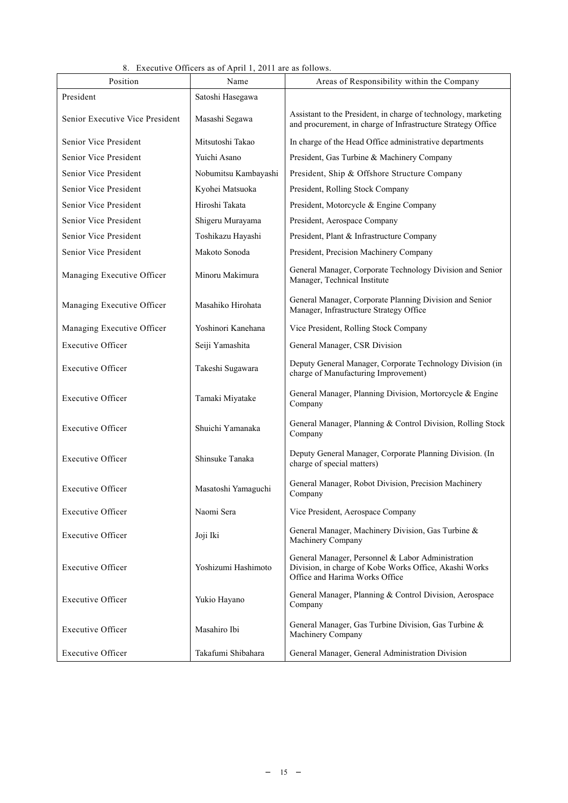|                                 | 8. Executive Officers as of April 1, 2011 are as follows. |                                                                                                                                               |
|---------------------------------|-----------------------------------------------------------|-----------------------------------------------------------------------------------------------------------------------------------------------|
| Position                        | Name                                                      | Areas of Responsibility within the Company                                                                                                    |
| President                       | Satoshi Hasegawa                                          |                                                                                                                                               |
| Senior Executive Vice President | Masashi Segawa                                            | Assistant to the President, in charge of technology, marketing<br>and procurement, in charge of Infrastructure Strategy Office                |
| Senior Vice President           | Mitsutoshi Takao                                          | In charge of the Head Office administrative departments                                                                                       |
| Senior Vice President           | Yuichi Asano                                              | President, Gas Turbine & Machinery Company                                                                                                    |
| Senior Vice President           | Nobumitsu Kambayashi                                      | President, Ship & Offshore Structure Company                                                                                                  |
| Senior Vice President           | Kyohei Matsuoka                                           | President, Rolling Stock Company                                                                                                              |
| Senior Vice President           | Hiroshi Takata                                            | President, Motorcycle & Engine Company                                                                                                        |
| Senior Vice President           | Shigeru Murayama                                          | President, Aerospace Company                                                                                                                  |
| Senior Vice President           | Toshikazu Hayashi                                         | President, Plant & Infrastructure Company                                                                                                     |
| Senior Vice President           | Makoto Sonoda                                             | President, Precision Machinery Company                                                                                                        |
| Managing Executive Officer      | Minoru Makimura                                           | General Manager, Corporate Technology Division and Senior<br>Manager, Technical Institute                                                     |
| Managing Executive Officer      | Masahiko Hirohata                                         | General Manager, Corporate Planning Division and Senior<br>Manager, Infrastructure Strategy Office                                            |
| Managing Executive Officer      | Yoshinori Kanehana                                        | Vice President, Rolling Stock Company                                                                                                         |
| <b>Executive Officer</b>        | Seiji Yamashita                                           | General Manager, CSR Division                                                                                                                 |
| <b>Executive Officer</b>        | Takeshi Sugawara                                          | Deputy General Manager, Corporate Technology Division (in<br>charge of Manufacturing Improvement)                                             |
| <b>Executive Officer</b>        | Tamaki Miyatake                                           | General Manager, Planning Division, Mortorcycle & Engine<br>Company                                                                           |
| <b>Executive Officer</b>        | Shuichi Yamanaka                                          | General Manager, Planning & Control Division, Rolling Stock<br>Company                                                                        |
| <b>Executive Officer</b>        | Shinsuke Tanaka                                           | Deputy General Manager, Corporate Planning Division. (In<br>charge of special matters)                                                        |
| <b>Executive Officer</b>        | Masatoshi Yamaguchi                                       | General Manager, Robot Division, Precision Machinery<br>Company                                                                               |
| <b>Executive Officer</b>        | Naomi Sera                                                | Vice President, Aerospace Company                                                                                                             |
| <b>Executive Officer</b>        | Joji Iki                                                  | General Manager, Machinery Division, Gas Turbine &<br>Machinery Company                                                                       |
| <b>Executive Officer</b>        | Yoshizumi Hashimoto                                       | General Manager, Personnel & Labor Administration<br>Division, in charge of Kobe Works Office, Akashi Works<br>Office and Harima Works Office |
| <b>Executive Officer</b>        | Yukio Hayano                                              | General Manager, Planning & Control Division, Aerospace<br>Company                                                                            |
| <b>Executive Officer</b>        | Masahiro Ibi                                              | General Manager, Gas Turbine Division, Gas Turbine &<br>Machinery Company                                                                     |
| <b>Executive Officer</b>        | Takafumi Shibahara                                        | General Manager, General Administration Division                                                                                              |

#### 8. Executive Officers as of April 1, 2011 are as follows.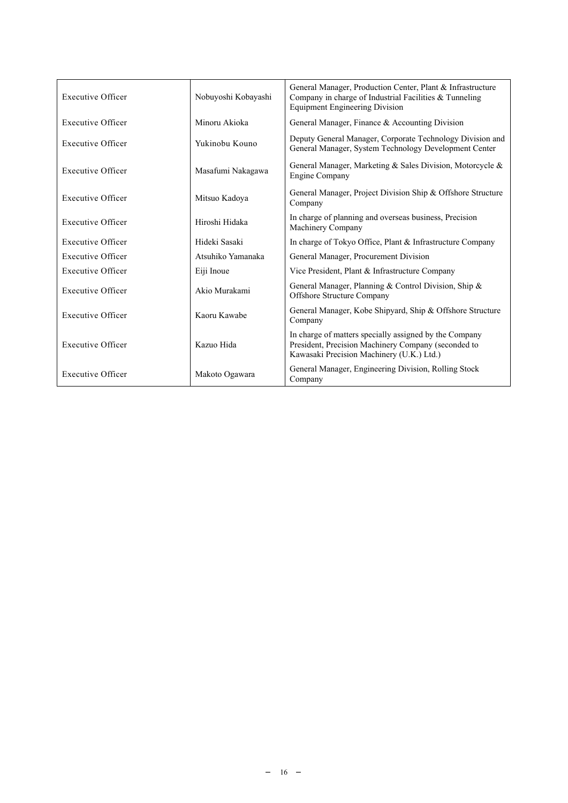| <b>Executive Officer</b> | Nobuyoshi Kobayashi | General Manager, Production Center, Plant & Infrastructure<br>Company in charge of Industrial Facilities $&$ Tunneling<br><b>Equipment Engineering Division</b> |  |  |
|--------------------------|---------------------|-----------------------------------------------------------------------------------------------------------------------------------------------------------------|--|--|
| <b>Executive Officer</b> | Minoru Akioka       | General Manager, Finance & Accounting Division                                                                                                                  |  |  |
| <b>Executive Officer</b> | Yukinobu Kouno      | Deputy General Manager, Corporate Technology Division and<br>General Manager, System Technology Development Center                                              |  |  |
| <b>Executive Officer</b> | Masafumi Nakagawa   | General Manager, Marketing & Sales Division, Motorcycle &<br><b>Engine Company</b>                                                                              |  |  |
| <b>Executive Officer</b> | Mitsuo Kadova       | General Manager, Project Division Ship & Offshore Structure<br>Company                                                                                          |  |  |
| Executive Officer        | Hiroshi Hidaka      | In charge of planning and overseas business, Precision<br>Machinery Company                                                                                     |  |  |
| <b>Executive Officer</b> | Hideki Sasaki       | In charge of Tokyo Office, Plant & Infrastructure Company                                                                                                       |  |  |
| <b>Executive Officer</b> | Atsuhiko Yamanaka   | General Manager, Procurement Division                                                                                                                           |  |  |
| <b>Executive Officer</b> | Eiji Inoue          | Vice President, Plant & Infrastructure Company                                                                                                                  |  |  |
| Executive Officer        | Akio Murakami       | General Manager, Planning & Control Division, Ship &<br>Offshore Structure Company                                                                              |  |  |
| Executive Officer        | Kaoru Kawabe        | General Manager, Kobe Shipyard, Ship & Offshore Structure<br>Company                                                                                            |  |  |
| Executive Officer        | Kazuo Hida          | In charge of matters specially assigned by the Company<br>President, Precision Machinery Company (seconded to<br>Kawasaki Precision Machinery (U.K.) Ltd.)      |  |  |
| <b>Executive Officer</b> | Makoto Ogawara      | General Manager, Engineering Division, Rolling Stock<br>Company                                                                                                 |  |  |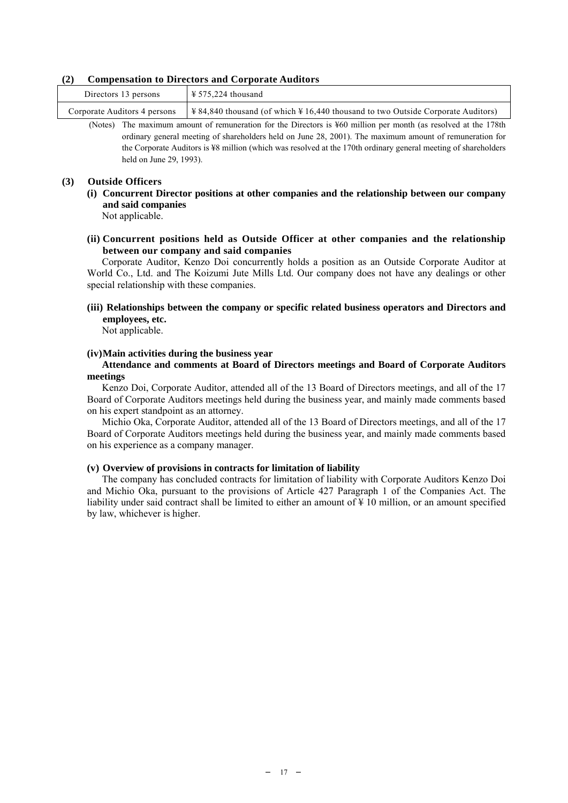#### **(2) Compensation to Directors and Corporate Auditors**

| Directors 13 persons         | $\frac{125}{224}$ thousand |
|------------------------------|----------------------------|
| Corporate Auditors 4 persons |                            |

(Notes) The maximum amount of remuneration for the Directors is ¥60 million per month (as resolved at the 178th ordinary general meeting of shareholders held on June 28, 2001). The maximum amount of remuneration for the Corporate Auditors is ¥8 million (which was resolved at the 170th ordinary general meeting of shareholders held on June 29, 1993).

#### **(3) Outside Officers**

**(i) Concurrent Director positions at other companies and the relationship between our company and said companies** 

Not applicable.

**(ii) Concurrent positions held as Outside Officer at other companies and the relationship between our company and said companies** 

Corporate Auditor, Kenzo Doi concurrently holds a position as an Outside Corporate Auditor at World Co., Ltd. and The Koizumi Jute Mills Ltd. Our company does not have any dealings or other special relationship with these companies.

**(iii) Relationships between the company or specific related business operators and Directors and employees, etc.** 

Not applicable.

### **(iv) Main activities during the business year**

#### **Attendance and comments at Board of Directors meetings and Board of Corporate Auditors meetings**

Kenzo Doi, Corporate Auditor, attended all of the 13 Board of Directors meetings, and all of the 17 Board of Corporate Auditors meetings held during the business year, and mainly made comments based on his expert standpoint as an attorney.

Michio Oka, Corporate Auditor, attended all of the 13 Board of Directors meetings, and all of the 17 Board of Corporate Auditors meetings held during the business year, and mainly made comments based on his experience as a company manager.

#### **(v) Overview of provisions in contracts for limitation of liability**

The company has concluded contracts for limitation of liability with Corporate Auditors Kenzo Doi and Michio Oka, pursuant to the provisions of Article 427 Paragraph 1 of the Companies Act. The liability under said contract shall be limited to either an amount of ¥ 10 million, or an amount specified by law, whichever is higher.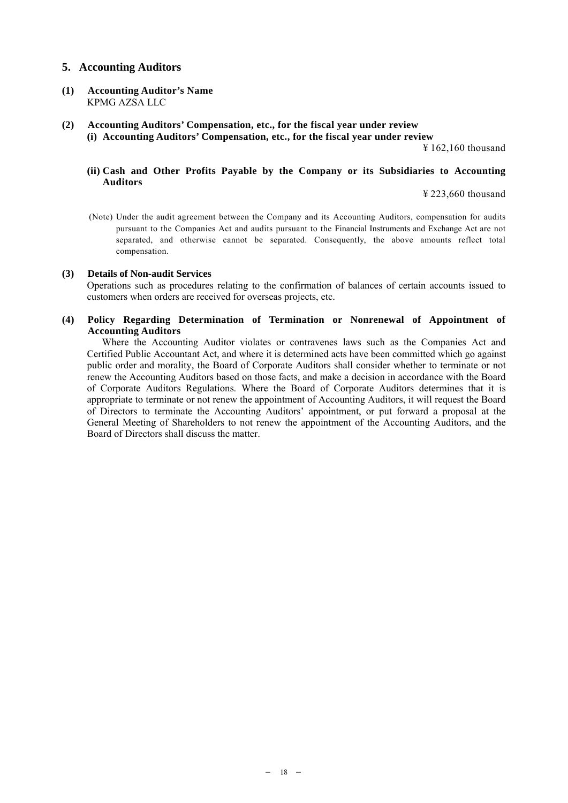# **5. Accounting Auditors**

- **(1) Accounting Auditor's Name**  KPMG AZSA LLC
- **(2) Accounting Auditors' Compensation, etc., for the fiscal year under review (i) Accounting Auditors' Compensation, etc., for the fiscal year under review**

¥ 162,160 thousand

## **(ii) Cash and Other Profits Payable by the Company or its Subsidiaries to Accounting Auditors**

¥ 223,660 thousand

(Note) Under the audit agreement between the Company and its Accounting Auditors, compensation for audits pursuant to the Companies Act and audits pursuant to the Financial Instruments and Exchange Act are not separated, and otherwise cannot be separated. Consequently, the above amounts reflect total compensation.

#### **(3) Details of Non-audit Services**

Operations such as procedures relating to the confirmation of balances of certain accounts issued to customers when orders are received for overseas projects, etc.

# **(4) Policy Regarding Determination of Termination or Nonrenewal of Appointment of Accounting Auditors**

Where the Accounting Auditor violates or contravenes laws such as the Companies Act and Certified Public Accountant Act, and where it is determined acts have been committed which go against public order and morality, the Board of Corporate Auditors shall consider whether to terminate or not renew the Accounting Auditors based on those facts, and make a decision in accordance with the Board of Corporate Auditors Regulations. Where the Board of Corporate Auditors determines that it is appropriate to terminate or not renew the appointment of Accounting Auditors, it will request the Board of Directors to terminate the Accounting Auditors' appointment, or put forward a proposal at the General Meeting of Shareholders to not renew the appointment of the Accounting Auditors, and the Board of Directors shall discuss the matter.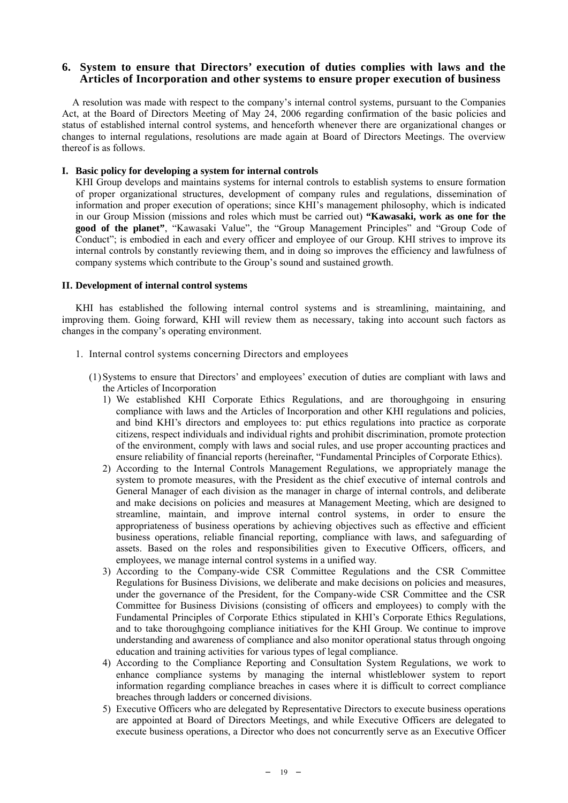# **6. System to ensure that Directors' execution of duties complies with laws and the Articles of Incorporation and other systems to ensure proper execution of business**

A resolution was made with respect to the company's internal control systems, pursuant to the Companies Act, at the Board of Directors Meeting of May 24, 2006 regarding confirmation of the basic policies and status of established internal control systems, and henceforth whenever there are organizational changes or changes to internal regulations, resolutions are made again at Board of Directors Meetings. The overview thereof is as follows.

#### **I. Basic policy for developing a system for internal controls**

KHI Group develops and maintains systems for internal controls to establish systems to ensure formation of proper organizational structures, development of company rules and regulations, dissemination of information and proper execution of operations; since KHI's management philosophy, which is indicated in our Group Mission (missions and roles which must be carried out) **"Kawasaki, work as one for the good of the planet"**, "Kawasaki Value", the "Group Management Principles" and "Group Code of Conduct"; is embodied in each and every officer and employee of our Group. KHI strives to improve its internal controls by constantly reviewing them, and in doing so improves the efficiency and lawfulness of company systems which contribute to the Group's sound and sustained growth.

#### **II. Development of internal control systems**

KHI has established the following internal control systems and is streamlining, maintaining, and improving them. Going forward, KHI will review them as necessary, taking into account such factors as changes in the company's operating environment.

- 1. Internal control systems concerning Directors and employees
	- (1) Systems to ensure that Directors' and employees' execution of duties are compliant with laws and the Articles of Incorporation
		- 1) We established KHI Corporate Ethics Regulations, and are thoroughgoing in ensuring compliance with laws and the Articles of Incorporation and other KHI regulations and policies, and bind KHI's directors and employees to: put ethics regulations into practice as corporate citizens, respect individuals and individual rights and prohibit discrimination, promote protection of the environment, comply with laws and social rules, and use proper accounting practices and ensure reliability of financial reports (hereinafter, "Fundamental Principles of Corporate Ethics).
		- 2) According to the Internal Controls Management Regulations, we appropriately manage the system to promote measures, with the President as the chief executive of internal controls and General Manager of each division as the manager in charge of internal controls, and deliberate and make decisions on policies and measures at Management Meeting, which are designed to streamline, maintain, and improve internal control systems, in order to ensure the appropriateness of business operations by achieving objectives such as effective and efficient business operations, reliable financial reporting, compliance with laws, and safeguarding of assets. Based on the roles and responsibilities given to Executive Officers, officers, and employees, we manage internal control systems in a unified way.
		- 3) According to the Company-wide CSR Committee Regulations and the CSR Committee Regulations for Business Divisions, we deliberate and make decisions on policies and measures, under the governance of the President, for the Company-wide CSR Committee and the CSR Committee for Business Divisions (consisting of officers and employees) to comply with the Fundamental Principles of Corporate Ethics stipulated in KHI's Corporate Ethics Regulations, and to take thoroughgoing compliance initiatives for the KHI Group. We continue to improve understanding and awareness of compliance and also monitor operational status through ongoing education and training activities for various types of legal compliance.
		- 4) According to the Compliance Reporting and Consultation System Regulations, we work to enhance compliance systems by managing the internal whistleblower system to report information regarding compliance breaches in cases where it is difficult to correct compliance breaches through ladders or concerned divisions.
		- 5) Executive Officers who are delegated by Representative Directors to execute business operations are appointed at Board of Directors Meetings, and while Executive Officers are delegated to execute business operations, a Director who does not concurrently serve as an Executive Officer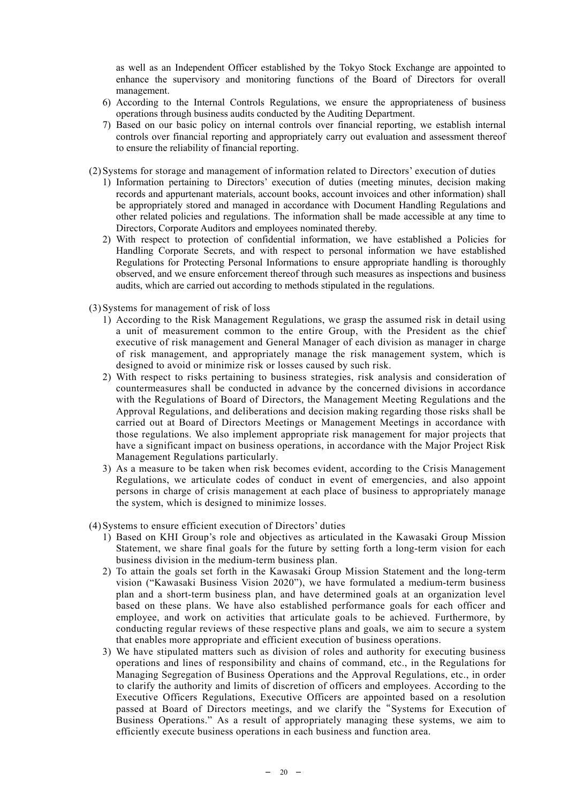as well as an Independent Officer established by the Tokyo Stock Exchange are appointed to enhance the supervisory and monitoring functions of the Board of Directors for overall management.

- 6) According to the Internal Controls Regulations, we ensure the appropriateness of business operations through business audits conducted by the Auditing Department.
- 7) Based on our basic policy on internal controls over financial reporting, we establish internal controls over financial reporting and appropriately carry out evaluation and assessment thereof to ensure the reliability of financial reporting.
- (2) Systems for storage and management of information related to Directors' execution of duties
	- 1) Information pertaining to Directors' execution of duties (meeting minutes, decision making records and appurtenant materials, account books, account invoices and other information) shall be appropriately stored and managed in accordance with Document Handling Regulations and other related policies and regulations. The information shall be made accessible at any time to Directors, Corporate Auditors and employees nominated thereby.
	- 2) With respect to protection of confidential information, we have established a Policies for Handling Corporate Secrets, and with respect to personal information we have established Regulations for Protecting Personal Informations to ensure appropriate handling is thoroughly observed, and we ensure enforcement thereof through such measures as inspections and business audits, which are carried out according to methods stipulated in the regulations.
- (3) Systems for management of risk of loss
	- 1) According to the Risk Management Regulations, we grasp the assumed risk in detail using a unit of measurement common to the entire Group, with the President as the chief executive of risk management and General Manager of each division as manager in charge of risk management, and appropriately manage the risk management system, which is designed to avoid or minimize risk or losses caused by such risk.
	- 2) With respect to risks pertaining to business strategies, risk analysis and consideration of countermeasures shall be conducted in advance by the concerned divisions in accordance with the Regulations of Board of Directors, the Management Meeting Regulations and the Approval Regulations, and deliberations and decision making regarding those risks shall be carried out at Board of Directors Meetings or Management Meetings in accordance with those regulations. We also implement appropriate risk management for major projects that have a significant impact on business operations, in accordance with the Major Project Risk Management Regulations particularly.
	- 3) As a measure to be taken when risk becomes evident, according to the Crisis Management Regulations, we articulate codes of conduct in event of emergencies, and also appoint persons in charge of crisis management at each place of business to appropriately manage the system, which is designed to minimize losses.
- (4) Systems to ensure efficient execution of Directors' duties
	- 1) Based on KHI Group's role and objectives as articulated in the Kawasaki Group Mission Statement, we share final goals for the future by setting forth a long-term vision for each business division in the medium-term business plan.
	- 2) To attain the goals set forth in the Kawasaki Group Mission Statement and the long-term vision ("Kawasaki Business Vision 2020"), we have formulated a medium-term business plan and a short-term business plan, and have determined goals at an organization level based on these plans. We have also established performance goals for each officer and employee, and work on activities that articulate goals to be achieved. Furthermore, by conducting regular reviews of these respective plans and goals, we aim to secure a system that enables more appropriate and efficient execution of business operations.
	- 3) We have stipulated matters such as division of roles and authority for executing business operations and lines of responsibility and chains of command, etc., in the Regulations for Managing Segregation of Business Operations and the Approval Regulations, etc., in order to clarify the authority and limits of discretion of officers and employees. According to the Executive Officers Regulations, Executive Officers are appointed based on a resolution passed at Board of Directors meetings, and we clarify the"Systems for Execution of Business Operations." As a result of appropriately managing these systems, we aim to efficiently execute business operations in each business and function area.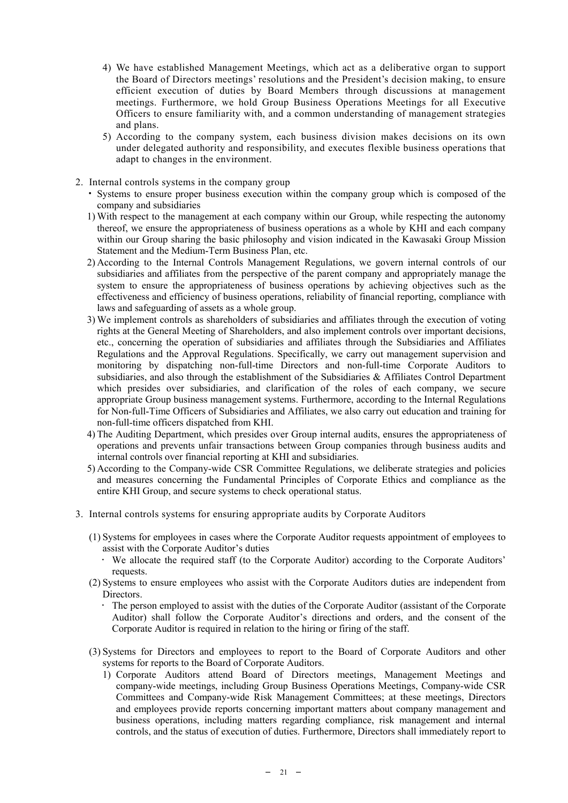- 4) We have established Management Meetings, which act as a deliberative organ to support the Board of Directors meetings' resolutions and the President's decision making, to ensure efficient execution of duties by Board Members through discussions at management meetings. Furthermore, we hold Group Business Operations Meetings for all Executive Officers to ensure familiarity with, and a common understanding of management strategies and plans.
- 5) According to the company system, each business division makes decisions on its own under delegated authority and responsibility, and executes flexible business operations that adapt to changes in the environment.
- 2. Internal controls systems in the company group
	- Systems to ensure proper business execution within the company group which is composed of the company and subsidiaries
	- 1) With respect to the management at each company within our Group, while respecting the autonomy thereof, we ensure the appropriateness of business operations as a whole by KHI and each company within our Group sharing the basic philosophy and vision indicated in the Kawasaki Group Mission Statement and the Medium-Term Business Plan, etc.
	- 2) According to the Internal Controls Management Regulations, we govern internal controls of our subsidiaries and affiliates from the perspective of the parent company and appropriately manage the system to ensure the appropriateness of business operations by achieving objectives such as the effectiveness and efficiency of business operations, reliability of financial reporting, compliance with laws and safeguarding of assets as a whole group.
	- 3) We implement controls as shareholders of subsidiaries and affiliates through the execution of voting rights at the General Meeting of Shareholders, and also implement controls over important decisions, etc., concerning the operation of subsidiaries and affiliates through the Subsidiaries and Affiliates Regulations and the Approval Regulations. Specifically, we carry out management supervision and monitoring by dispatching non-full-time Directors and non-full-time Corporate Auditors to subsidiaries, and also through the establishment of the Subsidiaries & Affiliates Control Department which presides over subsidiaries, and clarification of the roles of each company, we secure appropriate Group business management systems. Furthermore, according to the Internal Regulations for Non-full-Time Officers of Subsidiaries and Affiliates, we also carry out education and training for non-full-time officers dispatched from KHI.
	- 4) The Auditing Department, which presides over Group internal audits, ensures the appropriateness of operations and prevents unfair transactions between Group companies through business audits and internal controls over financial reporting at KHI and subsidiaries.
	- 5) According to the Company-wide CSR Committee Regulations, we deliberate strategies and policies and measures concerning the Fundamental Principles of Corporate Ethics and compliance as the entire KHI Group, and secure systems to check operational status.
- 3. Internal controls systems for ensuring appropriate audits by Corporate Auditors
	- (1) Systems for employees in cases where the Corporate Auditor requests appointment of employees to assist with the Corporate Auditor's duties
		- We allocate the required staff (to the Corporate Auditor) according to the Corporate Auditors' requests.
	- (2) Systems to ensure employees who assist with the Corporate Auditors duties are independent from Directors.
		- The person employed to assist with the duties of the Corporate Auditor (assistant of the Corporate Auditor) shall follow the Corporate Auditor's directions and orders, and the consent of the Corporate Auditor is required in relation to the hiring or firing of the staff.
	- (3) Systems for Directors and employees to report to the Board of Corporate Auditors and other systems for reports to the Board of Corporate Auditors.
		- 1) Corporate Auditors attend Board of Directors meetings, Management Meetings and company-wide meetings, including Group Business Operations Meetings, Company-wide CSR Committees and Company-wide Risk Management Committees; at these meetings, Directors and employees provide reports concerning important matters about company management and business operations, including matters regarding compliance, risk management and internal controls, and the status of execution of duties. Furthermore, Directors shall immediately report to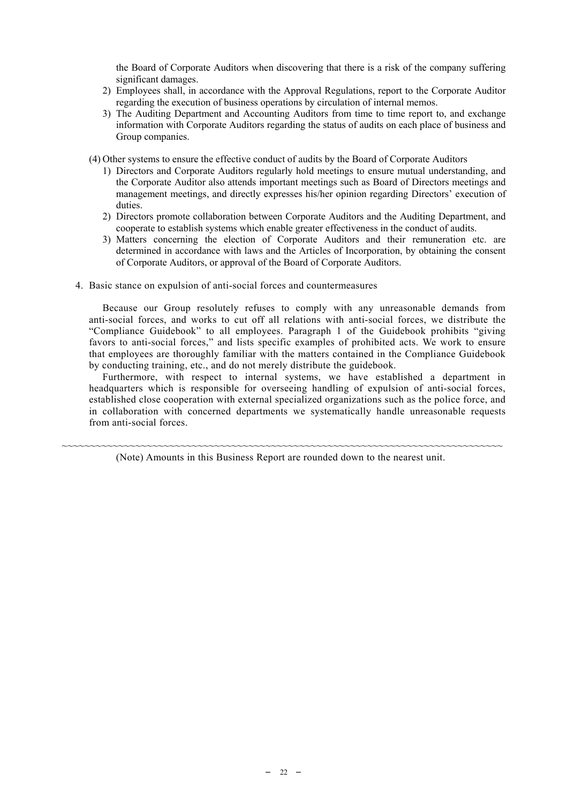the Board of Corporate Auditors when discovering that there is a risk of the company suffering significant damages.

- 2) Employees shall, in accordance with the Approval Regulations, report to the Corporate Auditor regarding the execution of business operations by circulation of internal memos.
- 3) The Auditing Department and Accounting Auditors from time to time report to, and exchange information with Corporate Auditors regarding the status of audits on each place of business and Group companies.
- (4) Other systems to ensure the effective conduct of audits by the Board of Corporate Auditors
	- 1) Directors and Corporate Auditors regularly hold meetings to ensure mutual understanding, and the Corporate Auditor also attends important meetings such as Board of Directors meetings and management meetings, and directly expresses his/her opinion regarding Directors' execution of duties.
	- 2) Directors promote collaboration between Corporate Auditors and the Auditing Department, and cooperate to establish systems which enable greater effectiveness in the conduct of audits.
	- 3) Matters concerning the election of Corporate Auditors and their remuneration etc. are determined in accordance with laws and the Articles of Incorporation, by obtaining the consent of Corporate Auditors, or approval of the Board of Corporate Auditors.
- 4. Basic stance on expulsion of anti-social forces and countermeasures

Because our Group resolutely refuses to comply with any unreasonable demands from anti-social forces, and works to cut off all relations with anti-social forces, we distribute the "Compliance Guidebook" to all employees. Paragraph 1 of the Guidebook prohibits "giving favors to anti-social forces," and lists specific examples of prohibited acts. We work to ensure that employees are thoroughly familiar with the matters contained in the Compliance Guidebook by conducting training, etc., and do not merely distribute the guidebook.

Furthermore, with respect to internal systems, we have established a department in headquarters which is responsible for overseeing handling of expulsion of anti-social forces, established close cooperation with external specialized organizations such as the police force, and in collaboration with concerned departments we systematically handle unreasonable requests from anti-social forces.

~~~~~~~~~~~~~~~~~~~~~~~~~~~~~~~~~~~~~~~~~~~~~~~~~~~~~~~~~~~~~~~~~~~~~~~~~~~~~~ (Note) Amounts in this Business Report are rounded down to the nearest unit.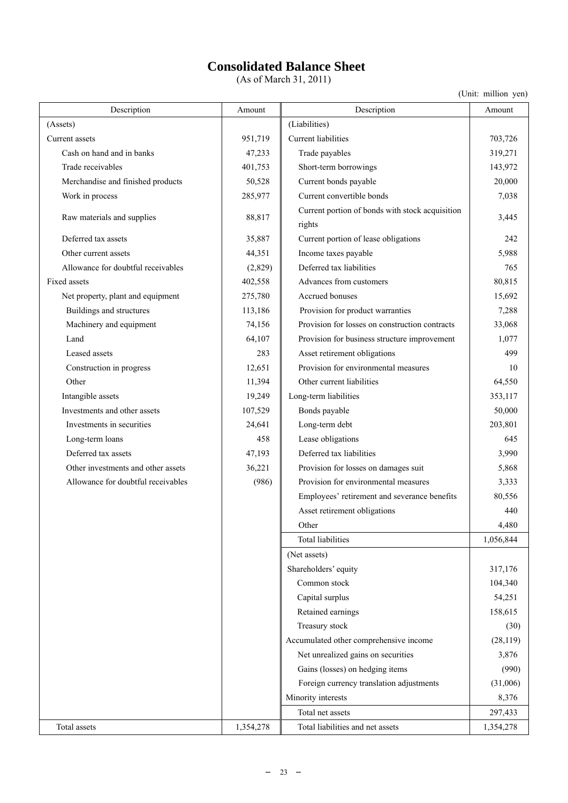# **Consolidated Balance Sheet**

(As of March 31, 2011)

| Description                        | Amount    | Description                                               | Amount    |
|------------------------------------|-----------|-----------------------------------------------------------|-----------|
| (Assets)                           |           | (Liabilities)                                             |           |
| Current assets                     | 951,719   | Current liabilities                                       | 703,726   |
| Cash on hand and in banks          | 47,233    | Trade payables                                            | 319,271   |
| Trade receivables                  | 401,753   | Short-term borrowings                                     | 143,972   |
| Merchandise and finished products  | 50,528    | Current bonds payable                                     | 20,000    |
| Work in process                    | 285,977   | Current convertible bonds                                 | 7,038     |
| Raw materials and supplies         | 88,817    | Current portion of bonds with stock acquisition<br>rights | 3,445     |
| Deferred tax assets                | 35,887    | Current portion of lease obligations                      | 242       |
| Other current assets               | 44,351    | Income taxes payable                                      | 5,988     |
| Allowance for doubtful receivables | (2,829)   | Deferred tax liabilities                                  | 765       |
| Fixed assets                       | 402,558   | Advances from customers                                   | 80,815    |
| Net property, plant and equipment  | 275,780   | Accrued bonuses                                           | 15,692    |
| Buildings and structures           | 113,186   | Provision for product warranties                          | 7,288     |
| Machinery and equipment            | 74,156    | Provision for losses on construction contracts            | 33,068    |
| Land                               | 64,107    | Provision for business structure improvement              | 1,077     |
| Leased assets                      | 283       | Asset retirement obligations                              | 499       |
| Construction in progress           | 12,651    | Provision for environmental measures                      | 10        |
| Other                              | 11,394    | Other current liabilities                                 | 64,550    |
| Intangible assets                  | 19,249    | Long-term liabilities                                     | 353,117   |
| Investments and other assets       | 107,529   | Bonds payable                                             | 50,000    |
| Investments in securities          | 24,641    | Long-term debt                                            | 203,801   |
| Long-term loans                    | 458       | Lease obligations                                         | 645       |
| Deferred tax assets                | 47,193    | Deferred tax liabilities                                  | 3,990     |
| Other investments and other assets | 36,221    | Provision for losses on damages suit                      | 5,868     |
| Allowance for doubtful receivables | (986)     | Provision for environmental measures                      | 3,333     |
|                                    |           | Employees' retirement and severance benefits              | 80,556    |
|                                    |           | Asset retirement obligations                              | 440       |
|                                    |           | Other                                                     | 4,480     |
|                                    |           | <b>Total liabilities</b>                                  | 1,056,844 |
|                                    |           | (Net assets)                                              |           |
|                                    |           | Shareholders' equity                                      | 317,176   |
|                                    |           | Common stock                                              | 104,340   |
|                                    |           | Capital surplus                                           | 54,251    |
|                                    |           | Retained earnings                                         | 158,615   |
|                                    |           | Treasury stock                                            | (30)      |
|                                    |           | Accumulated other comprehensive income                    | (28, 119) |
|                                    |           | Net unrealized gains on securities                        | 3,876     |
|                                    |           | Gains (losses) on hedging items                           | (990)     |
|                                    |           | Foreign currency translation adjustments                  | (31,006)  |
|                                    |           | Minority interests                                        | 8,376     |
|                                    |           | Total net assets                                          | 297,433   |
| Total assets                       | 1,354,278 | Total liabilities and net assets                          | 1,354,278 |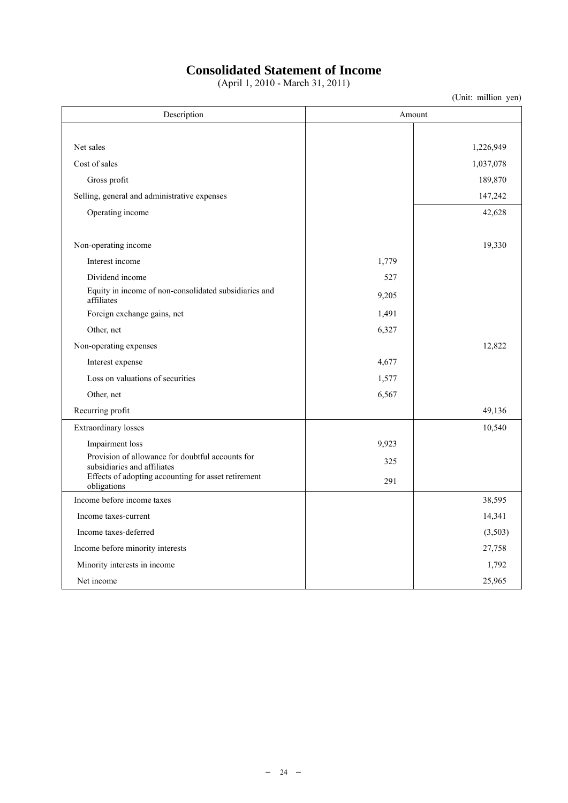# **Consolidated Statement of Income**

(April 1, 2010 - March 31, 2011)

| Description                                                                     |       | Amount    |
|---------------------------------------------------------------------------------|-------|-----------|
|                                                                                 |       |           |
| Net sales                                                                       |       | 1,226,949 |
| Cost of sales                                                                   |       | 1,037,078 |
| Gross profit                                                                    |       | 189,870   |
| Selling, general and administrative expenses                                    |       | 147,242   |
| Operating income                                                                |       | 42,628    |
| Non-operating income                                                            |       | 19,330    |
| Interest income                                                                 | 1,779 |           |
| Dividend income                                                                 | 527   |           |
| Equity in income of non-consolidated subsidiaries and<br>affiliates             | 9,205 |           |
| Foreign exchange gains, net                                                     | 1,491 |           |
| Other, net                                                                      | 6,327 |           |
| Non-operating expenses                                                          |       | 12,822    |
| Interest expense                                                                | 4,677 |           |
| Loss on valuations of securities                                                | 1,577 |           |
| Other, net                                                                      | 6,567 |           |
| Recurring profit                                                                |       | 49,136    |
| Extraordinary losses                                                            |       | 10,540    |
| Impairment loss                                                                 | 9,923 |           |
| Provision of allowance for doubtful accounts for<br>subsidiaries and affiliates | 325   |           |
| Effects of adopting accounting for asset retirement<br>obligations              | 291   |           |
| Income before income taxes                                                      |       | 38,595    |
| Income taxes-current                                                            |       | 14,341    |
| Income taxes-deferred                                                           |       | (3,503)   |
| Income before minority interests                                                |       | 27,758    |
| Minority interests in income                                                    |       | 1,792     |
| Net income                                                                      |       | 25,965    |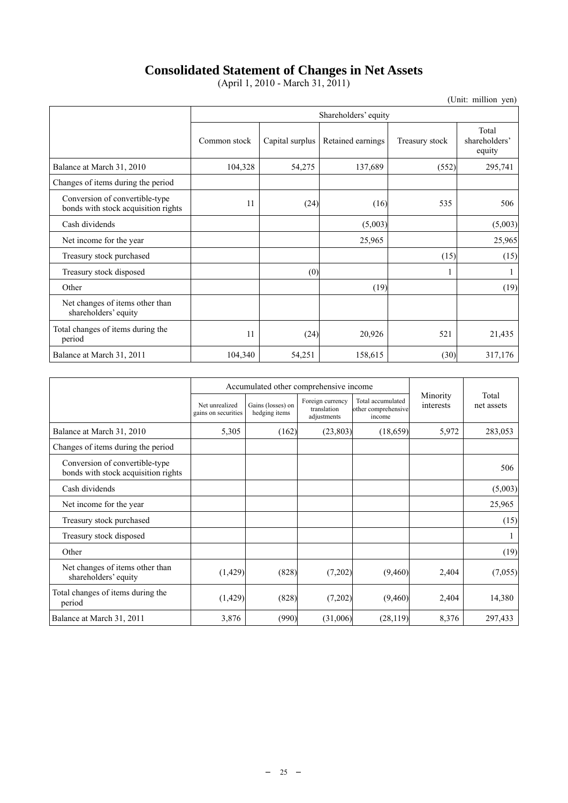# **Consolidated Statement of Changes in Net Assets**

(April 1, 2010 - March 31, 2011)

|                                                                       | Shareholders' equity |                 |                   |                |                                  |
|-----------------------------------------------------------------------|----------------------|-----------------|-------------------|----------------|----------------------------------|
|                                                                       | Common stock         | Capital surplus | Retained earnings | Treasury stock | Total<br>shareholders'<br>equity |
| Balance at March 31, 2010                                             | 104,328              | 54,275          | 137,689           | (552)          | 295,741                          |
| Changes of items during the period                                    |                      |                 |                   |                |                                  |
| Conversion of convertible-type<br>bonds with stock acquisition rights | 11                   | (24)            | (16)              | 535            | 506                              |
| Cash dividends                                                        |                      |                 | (5,003)           |                | (5,003)                          |
| Net income for the year.                                              |                      |                 | 25,965            |                | 25,965                           |
| Treasury stock purchased                                              |                      |                 |                   | (15)           | (15)                             |
| Treasury stock disposed                                               |                      | (0)             |                   |                |                                  |
| Other                                                                 |                      |                 | (19)              |                | (19)                             |
| Net changes of items other than<br>shareholders' equity               |                      |                 |                   |                |                                  |
| Total changes of items during the<br>period                           | 11                   | (24)            | 20,926            | 521            | 21,435                           |
| Balance at March 31, 2011                                             | 104,340              | 54,251          | 158,615           | (30)           | 317,176                          |

|                                                                       |                                       | Accumulated other comprehensive income |                                                |                                                    |                       |                     |
|-----------------------------------------------------------------------|---------------------------------------|----------------------------------------|------------------------------------------------|----------------------------------------------------|-----------------------|---------------------|
|                                                                       | Net unrealized<br>gains on securities | Gains (losses) on<br>hedging items     | Foreign currency<br>translation<br>adjustments | Total accumulated<br>other comprehensive<br>income | Minority<br>interests | Total<br>net assets |
| Balance at March 31, 2010                                             | 5,305                                 | (162)                                  | (23, 803)                                      | (18,659)                                           | 5,972                 | 283,053             |
| Changes of items during the period                                    |                                       |                                        |                                                |                                                    |                       |                     |
| Conversion of convertible-type<br>bonds with stock acquisition rights |                                       |                                        |                                                |                                                    |                       | 506                 |
| Cash dividends                                                        |                                       |                                        |                                                |                                                    |                       | (5,003)             |
| Net income for the year                                               |                                       |                                        |                                                |                                                    |                       | 25,965              |
| Treasury stock purchased                                              |                                       |                                        |                                                |                                                    |                       | (15)                |
| Treasury stock disposed                                               |                                       |                                        |                                                |                                                    |                       | 1                   |
| Other                                                                 |                                       |                                        |                                                |                                                    |                       | (19)                |
| Net changes of items other than<br>shareholders' equity               | (1, 429)                              | (828)                                  | (7,202)                                        | (9,460)                                            | 2,404                 | (7,055)             |
| Total changes of items during the<br>period                           | (1, 429)                              | (828)                                  | (7,202)                                        | (9,460)                                            | 2,404                 | 14,380              |
| Balance at March 31, 2011                                             | 3,876                                 | (990)                                  | (31,006)                                       | (28, 119)                                          | 8,376                 | 297,433             |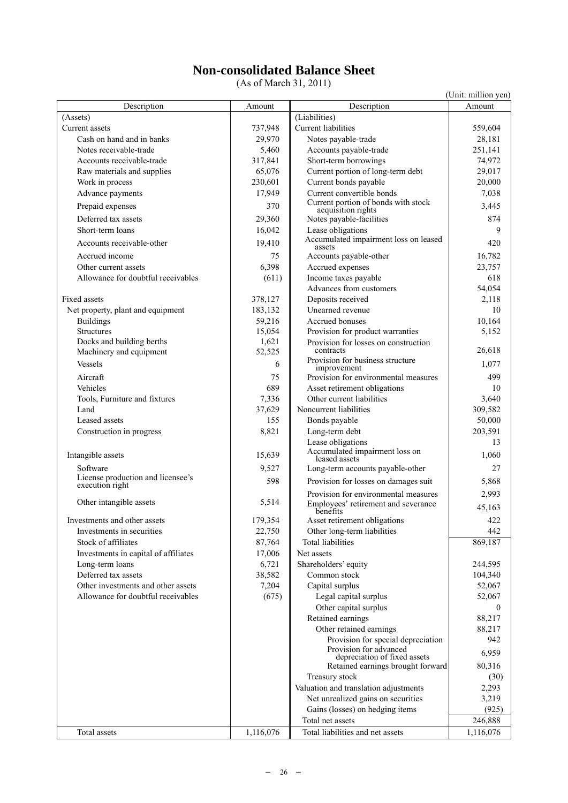# **Non-consolidated Balance Sheet**

(As of March 31, 2011)

|                                                      |           |                                                              | (Unit: million yen) |
|------------------------------------------------------|-----------|--------------------------------------------------------------|---------------------|
| Description                                          | Amount    | Description                                                  | Amount              |
| (Assets)                                             |           | (Liabilities)                                                |                     |
| Current assets                                       | 737,948   | <b>Current liabilities</b>                                   | 559,604             |
| Cash on hand and in banks                            | 29,970    | Notes payable-trade                                          | 28,181              |
| Notes receivable-trade                               | 5,460     | Accounts payable-trade                                       | 251,141             |
| Accounts receivable-trade                            | 317,841   | Short-term borrowings                                        | 74,972              |
| Raw materials and supplies                           | 65,076    | Current portion of long-term debt                            | 29,017              |
| Work in process                                      | 230,601   | Current bonds payable                                        | 20,000              |
| Advance payments                                     | 17,949    | Current convertible bonds                                    | 7,038               |
| Prepaid expenses                                     | 370       | Current portion of bonds with stock<br>acquisition rights    | 3,445               |
| Deferred tax assets                                  | 29,360    | Notes payable-facilities                                     | 874                 |
| Short-term loans                                     | 16,042    | Lease obligations                                            | 9                   |
| Accounts receivable-other                            | 19,410    | Accumulated impairment loss on leased                        | 420                 |
| Accrued income                                       | 75        | assets<br>Accounts payable-other                             | 16,782              |
| Other current assets                                 | 6,398     | Accrued expenses                                             | 23,757              |
| Allowance for doubtful receivables                   | (611)     | Income taxes payable                                         | 618                 |
|                                                      |           | Advances from customers                                      | 54,054              |
| <b>Fixed assets</b>                                  | 378,127   | Deposits received                                            | 2,118               |
| Net property, plant and equipment                    | 183,132   | Unearned revenue                                             | 10                  |
| <b>Buildings</b>                                     | 59,216    | Accrued bonuses                                              | 10,164              |
| Structures                                           | 15,054    | Provision for product warranties                             | 5,152               |
| Docks and building berths                            | 1,621     | Provision for losses on construction                         |                     |
| Machinery and equipment                              | 52,525    | contracts                                                    | 26,618              |
| Vessels                                              | 6         | Provision for business structure<br>improvement              | 1,077               |
| Aircraft                                             | 75        | Provision for environmental measures                         | 499                 |
| Vehicles                                             | 689       | Asset retirement obligations                                 | 10                  |
| Tools, Furniture and fixtures                        | 7,336     | Other current liabilities                                    | 3,640               |
| Land                                                 | 37,629    | Noncurrent liabilities                                       | 309,582             |
| Leased assets                                        | 155       | Bonds payable                                                | 50,000              |
| Construction in progress                             | 8,821     | Long-term debt                                               | 203,591             |
|                                                      |           | Lease obligations                                            | 13                  |
| Intangible assets                                    | 15,639    | Accumulated impairment loss on<br>leased assets              | 1,060               |
| Software                                             | 9,527     | Long-term accounts payable-other                             | 27                  |
| License production and licensee's<br>execution right | 598       | Provision for losses on damages suit                         | 5,868               |
|                                                      |           | Provision for environmental measures                         | 2,993               |
| Other intangible assets                              | 5,514     | Employees' retirement and severance                          |                     |
|                                                      |           | benefits                                                     | 45,163              |
| Investments and other assets                         | 179,354   | Asset retirement obligations                                 | 422                 |
| Investments in securities                            | 22,750    | Other long-term liabilities                                  | 442                 |
| Stock of affiliates                                  | 87,764    | <b>Total liabilities</b>                                     | 869,187             |
| Investments in capital of affiliates                 | 17,006    | Net assets                                                   |                     |
| Long-term loans                                      | 6,721     | Shareholders' equity                                         | 244,595             |
| Deferred tax assets                                  | 38,582    | Common stock                                                 | 104,340             |
| Other investments and other assets                   | 7,204     | Capital surplus                                              | 52,067              |
| Allowance for doubtful receivables                   | (675)     | Legal capital surplus                                        | 52,067              |
|                                                      |           | Other capital surplus                                        | $\overline{0}$      |
|                                                      |           | Retained earnings                                            | 88,217              |
|                                                      |           | Other retained earnings                                      | 88,217              |
|                                                      |           | Provision for special depreciation<br>Provision for advanced | 942                 |
|                                                      |           | depreciation of fixed assets                                 | 6,959               |
|                                                      |           | Retained earnings brought forward                            | 80,316              |
|                                                      |           | Treasury stock                                               | (30)                |
|                                                      |           | Valuation and translation adjustments                        | 2,293               |
|                                                      |           | Net unrealized gains on securities                           | 3,219               |
|                                                      |           | Gains (losses) on hedging items                              | (925)               |
|                                                      |           | Total net assets                                             | 246,888             |
| Total assets                                         | 1,116,076 | Total liabilities and net assets                             | 1,116,076           |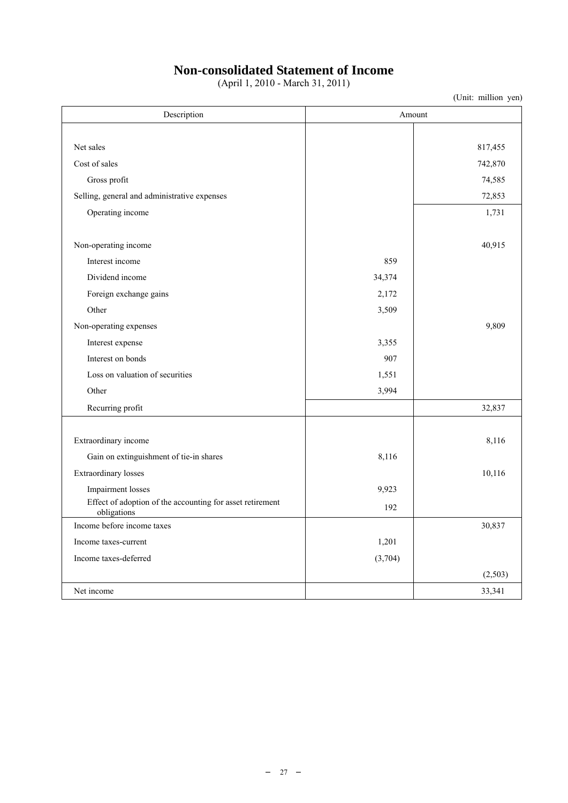# **Non-consolidated Statement of Income**

(April 1, 2010 - March 31, 2011)

| Description                                                              | Amount  |         |  |  |
|--------------------------------------------------------------------------|---------|---------|--|--|
|                                                                          |         |         |  |  |
| Net sales                                                                |         | 817,455 |  |  |
| Cost of sales                                                            |         | 742,870 |  |  |
| Gross profit                                                             |         | 74,585  |  |  |
| Selling, general and administrative expenses                             |         | 72,853  |  |  |
| Operating income                                                         |         | 1,731   |  |  |
|                                                                          |         |         |  |  |
| Non-operating income                                                     |         | 40,915  |  |  |
| Interest income                                                          | 859     |         |  |  |
| Dividend income                                                          | 34,374  |         |  |  |
| Foreign exchange gains                                                   | 2,172   |         |  |  |
| Other                                                                    | 3,509   |         |  |  |
| Non-operating expenses                                                   |         | 9,809   |  |  |
| Interest expense                                                         | 3,355   |         |  |  |
| Interest on bonds                                                        | 907     |         |  |  |
| Loss on valuation of securities                                          | 1,551   |         |  |  |
| Other                                                                    | 3,994   |         |  |  |
| Recurring profit                                                         |         | 32,837  |  |  |
|                                                                          |         |         |  |  |
| Extraordinary income                                                     |         | 8,116   |  |  |
| Gain on extinguishment of tie-in shares                                  | 8,116   |         |  |  |
| Extraordinary losses                                                     |         | 10,116  |  |  |
| Impairment losses                                                        | 9,923   |         |  |  |
| Effect of adoption of the accounting for asset retirement<br>obligations | 192     |         |  |  |
| Income before income taxes                                               |         | 30,837  |  |  |
| Income taxes-current                                                     | 1,201   |         |  |  |
| Income taxes-deferred                                                    | (3,704) |         |  |  |
|                                                                          |         | (2,503) |  |  |
| Net income                                                               |         | 33,341  |  |  |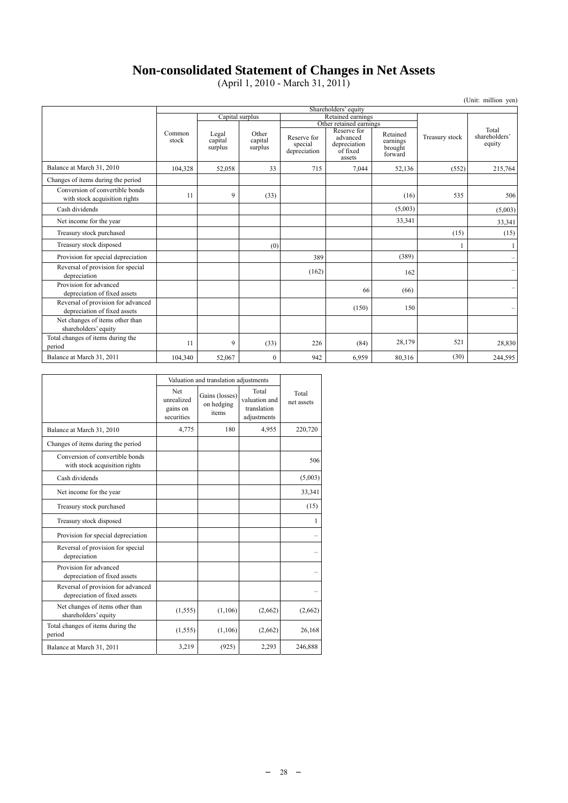# **Non-consolidated Statement of Changes in Net Assets**

(April 1, 2010 - March 31, 2011)

|                                                                    |                      |                             |                             |                                        |                                                               |                                            |                | (Unit: million yen)              |
|--------------------------------------------------------------------|----------------------|-----------------------------|-----------------------------|----------------------------------------|---------------------------------------------------------------|--------------------------------------------|----------------|----------------------------------|
|                                                                    | Shareholders' equity |                             |                             |                                        |                                                               |                                            |                |                                  |
|                                                                    |                      | Capital surplus             |                             | Retained earnings                      |                                                               |                                            |                |                                  |
|                                                                    |                      |                             |                             | Other retained earnings                |                                                               |                                            |                |                                  |
|                                                                    | Common<br>stock      | Legal<br>capital<br>surplus | Other<br>capital<br>surplus | Reserve for<br>special<br>depreciation | Reserve for<br>advanced<br>depreciation<br>of fixed<br>assets | Retained<br>earnings<br>brought<br>forward | Treasury stock | Total<br>shareholders'<br>equity |
| Balance at March 31, 2010                                          | 104,328              | 52,058                      | 33                          | 715                                    | 7,044                                                         | 52,136                                     | (552)          | 215,764                          |
| Changes of items during the period                                 |                      |                             |                             |                                        |                                                               |                                            |                |                                  |
| Conversion of convertible bonds<br>with stock acquisition rights   | 11                   | 9                           | (33)                        |                                        |                                                               | (16)                                       | 535            | 506                              |
| Cash dividends                                                     |                      |                             |                             |                                        |                                                               | (5,003)                                    |                | (5,003)                          |
| Net income for the year                                            |                      |                             |                             |                                        |                                                               | 33,341                                     |                | 33,341                           |
| Treasury stock purchased                                           |                      |                             |                             |                                        |                                                               |                                            | (15)           | (15)                             |
| Treasury stock disposed                                            |                      |                             | (0)                         |                                        |                                                               |                                            |                |                                  |
| Provision for special depreciation                                 |                      |                             |                             | 389                                    |                                                               | (389)                                      |                |                                  |
| Reversal of provision for special<br>depreciation                  |                      |                             |                             | (162)                                  |                                                               | 162                                        |                | $\overline{\phantom{0}}$         |
| Provision for advanced<br>depreciation of fixed assets             |                      |                             |                             |                                        | 66                                                            | (66)                                       |                |                                  |
| Reversal of provision for advanced<br>depreciation of fixed assets |                      |                             |                             |                                        | (150)                                                         | 150                                        |                |                                  |
| Net changes of items other than<br>shareholders' equity            |                      |                             |                             |                                        |                                                               |                                            |                |                                  |
| Total changes of items during the<br>period                        | 11                   | 9                           | (33)                        | 226                                    | (84)                                                          | 28,179                                     | 521            | 28,830                           |
| Balance at March 31, 2011                                          | 104,340              | 52,067                      | $\mathbf{0}$                | 942                                    | 6,959                                                         | 80,316                                     | (30)           | 244,595                          |

|                                                                    |                                             | Valuation and translation adjustments |                                                      |                     |  |  |
|--------------------------------------------------------------------|---------------------------------------------|---------------------------------------|------------------------------------------------------|---------------------|--|--|
|                                                                    | Net<br>unrealized<br>gains on<br>securities | Gains (losses)<br>on hedging<br>items | Total<br>valuation and<br>translation<br>adjustments | Total<br>net assets |  |  |
| Balance at March 31, 2010                                          | 4,775                                       | 180                                   | 4,955                                                | 220,720             |  |  |
| Changes of items during the period                                 |                                             |                                       |                                                      |                     |  |  |
| Conversion of convertible bonds<br>with stock acquisition rights   |                                             |                                       |                                                      | 506                 |  |  |
| Cash dividends                                                     |                                             |                                       |                                                      | (5,003)             |  |  |
| Net income for the year                                            |                                             |                                       |                                                      | 33,341              |  |  |
| Treasury stock purchased                                           |                                             |                                       |                                                      | (15)                |  |  |
| Treasury stock disposed                                            |                                             |                                       |                                                      | 1                   |  |  |
| Provision for special depreciation                                 |                                             |                                       |                                                      |                     |  |  |
| Reversal of provision for special<br>depreciation                  |                                             |                                       |                                                      |                     |  |  |
| Provision for advanced<br>depreciation of fixed assets             |                                             |                                       |                                                      |                     |  |  |
| Reversal of provision for advanced<br>depreciation of fixed assets |                                             |                                       |                                                      |                     |  |  |
| Net changes of items other than<br>shareholders' equity            | (1, 555)                                    | (1,106)                               | (2,662)                                              | (2,662)             |  |  |
| Total changes of items during the<br>period                        | (1, 555)                                    | (1,106)                               | (2,662)                                              | 26,168              |  |  |
| Balance at March 31, 2011                                          | 3,219                                       | (925)                                 | 2,293                                                | 246,888             |  |  |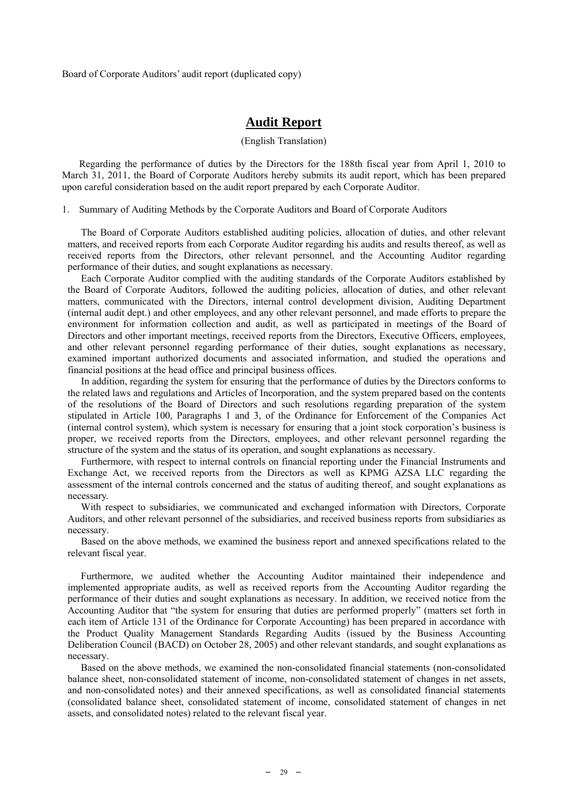Board of Corporate Auditors' audit report (duplicated copy)

# **Audit Report**

#### (English Translation)

Regarding the performance of duties by the Directors for the 188th fiscal year from April 1, 2010 to March 31, 2011, the Board of Corporate Auditors hereby submits its audit report, which has been prepared upon careful consideration based on the audit report prepared by each Corporate Auditor.

1. Summary of Auditing Methods by the Corporate Auditors and Board of Corporate Auditors

The Board of Corporate Auditors established auditing policies, allocation of duties, and other relevant matters, and received reports from each Corporate Auditor regarding his audits and results thereof, as well as received reports from the Directors, other relevant personnel, and the Accounting Auditor regarding performance of their duties, and sought explanations as necessary.

Each Corporate Auditor complied with the auditing standards of the Corporate Auditors established by the Board of Corporate Auditors, followed the auditing policies, allocation of duties, and other relevant matters, communicated with the Directors, internal control development division, Auditing Department (internal audit dept.) and other employees, and any other relevant personnel, and made efforts to prepare the environment for information collection and audit, as well as participated in meetings of the Board of Directors and other important meetings, received reports from the Directors, Executive Officers, employees, and other relevant personnel regarding performance of their duties, sought explanations as necessary, examined important authorized documents and associated information, and studied the operations and financial positions at the head office and principal business offices.

In addition, regarding the system for ensuring that the performance of duties by the Directors conforms to the related laws and regulations and Articles of Incorporation, and the system prepared based on the contents of the resolutions of the Board of Directors and such resolutions regarding preparation of the system stipulated in Article 100, Paragraphs 1 and 3, of the Ordinance for Enforcement of the Companies Act (internal control system), which system is necessary for ensuring that a joint stock corporation's business is proper, we received reports from the Directors, employees, and other relevant personnel regarding the structure of the system and the status of its operation, and sought explanations as necessary.

Furthermore, with respect to internal controls on financial reporting under the Financial Instruments and Exchange Act, we received reports from the Directors as well as KPMG AZSA LLC regarding the assessment of the internal controls concerned and the status of auditing thereof, and sought explanations as necessary.

With respect to subsidiaries, we communicated and exchanged information with Directors, Corporate Auditors, and other relevant personnel of the subsidiaries, and received business reports from subsidiaries as necessary.

Based on the above methods, we examined the business report and annexed specifications related to the relevant fiscal year.

Furthermore, we audited whether the Accounting Auditor maintained their independence and implemented appropriate audits, as well as received reports from the Accounting Auditor regarding the performance of their duties and sought explanations as necessary. In addition, we received notice from the Accounting Auditor that "the system for ensuring that duties are performed properly" (matters set forth in each item of Article 131 of the Ordinance for Corporate Accounting) has been prepared in accordance with the Product Quality Management Standards Regarding Audits (issued by the Business Accounting Deliberation Council (BACD) on October 28, 2005) and other relevant standards, and sought explanations as necessary.

Based on the above methods, we examined the non-consolidated financial statements (non-consolidated balance sheet, non-consolidated statement of income, non-consolidated statement of changes in net assets, and non-consolidated notes) and their annexed specifications, as well as consolidated financial statements (consolidated balance sheet, consolidated statement of income, consolidated statement of changes in net assets, and consolidated notes) related to the relevant fiscal year.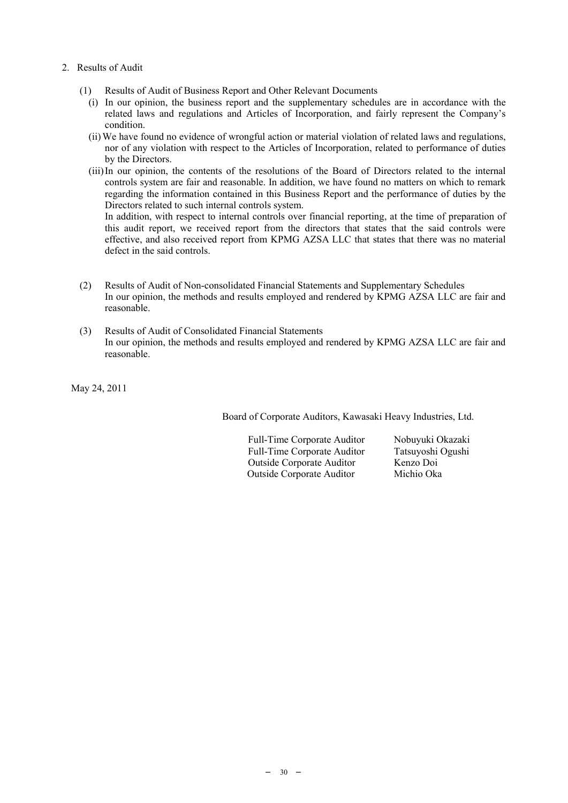- 2. Results of Audit
	- (1) Results of Audit of Business Report and Other Relevant Documents
		- (i) In our opinion, the business report and the supplementary schedules are in accordance with the related laws and regulations and Articles of Incorporation, and fairly represent the Company's condition.
		- (ii) We have found no evidence of wrongful action or material violation of related laws and regulations, nor of any violation with respect to the Articles of Incorporation, related to performance of duties by the Directors.
		- (iii) In our opinion, the contents of the resolutions of the Board of Directors related to the internal controls system are fair and reasonable. In addition, we have found no matters on which to remark regarding the information contained in this Business Report and the performance of duties by the Directors related to such internal controls system.

In addition, with respect to internal controls over financial reporting, at the time of preparation of this audit report, we received report from the directors that states that the said controls were effective, and also received report from KPMG AZSA LLC that states that there was no material defect in the said controls.

- (2) Results of Audit of Non-consolidated Financial Statements and Supplementary Schedules In our opinion, the methods and results employed and rendered by KPMG AZSA LLC are fair and reasonable.
- (3) Results of Audit of Consolidated Financial Statements In our opinion, the methods and results employed and rendered by KPMG AZSA LLC are fair and reasonable.

May 24, 2011

Board of Corporate Auditors, Kawasaki Heavy Industries, Ltd.

Full-Time Corporate Auditor Nobuyuki Okazaki Full-Time Corporate Auditor Tatsuyoshi Ogushi Outside Corporate Auditor Kenzo Doi Outside Corporate Auditor Michio Oka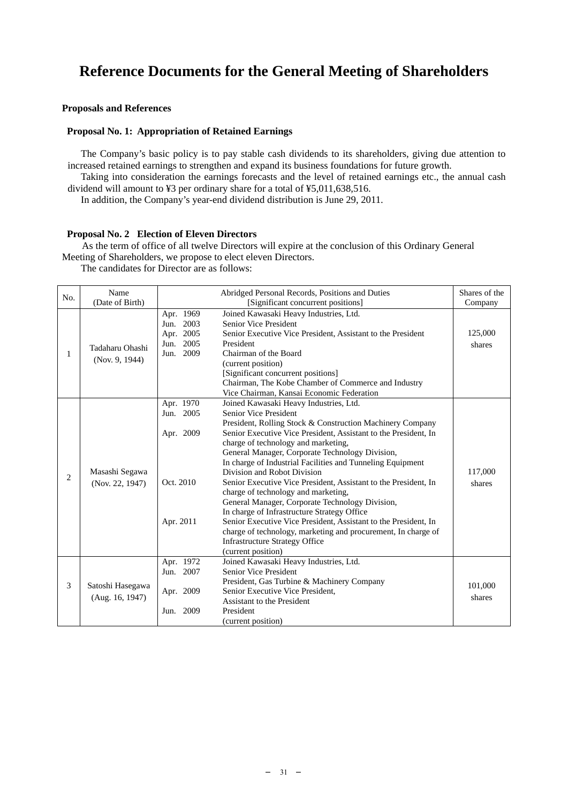# **Reference Documents for the General Meeting of Shareholders**

### **Proposals and References**

## **Proposal No. 1: Appropriation of Retained Earnings**

The Company's basic policy is to pay stable cash dividends to its shareholders, giving due attention to increased retained earnings to strengthen and expand its business foundations for future growth.

Taking into consideration the earnings forecasts and the level of retained earnings etc., the annual cash dividend will amount to ¥3 per ordinary share for a total of ¥5,011,638,516.

In addition, the Company's year-end dividend distribution is June 29, 2011.

#### **Proposal No. 2 Election of Eleven Directors**

As the term of office of all twelve Directors will expire at the conclusion of this Ordinary General Meeting of Shareholders, we propose to elect eleven Directors.

The candidates for Director are as follows:

| No.            | Name<br>(Date of Birth)             |                                                                  | Abridged Personal Records, Positions and Duties<br>[Significant concurrent positions]                                                                                                                                                                                                                                                                                                                                                                                                                                                                                                                                                                                                                                                                                                                 | Shares of the<br>Company |
|----------------|-------------------------------------|------------------------------------------------------------------|-------------------------------------------------------------------------------------------------------------------------------------------------------------------------------------------------------------------------------------------------------------------------------------------------------------------------------------------------------------------------------------------------------------------------------------------------------------------------------------------------------------------------------------------------------------------------------------------------------------------------------------------------------------------------------------------------------------------------------------------------------------------------------------------------------|--------------------------|
| 1              | Tadaharu Ohashi<br>(Nov. 9, 1944)   | Apr. 1969<br>Jun. 2003<br>Apr. 2005<br>2005<br>Jun.<br>Jun. 2009 | Joined Kawasaki Heavy Industries, Ltd.<br>Senior Vice President<br>Senior Executive Vice President, Assistant to the President<br>President<br>Chairman of the Board<br>(current position)<br>[Significant concurrent positions]<br>Chairman, The Kobe Chamber of Commerce and Industry<br>Vice Chairman, Kansai Economic Federation                                                                                                                                                                                                                                                                                                                                                                                                                                                                  | 125,000<br>shares        |
| $\overline{2}$ | Masashi Segawa<br>(Nov. 22, 1947)   | Apr. 1970<br>Jun. 2005<br>Apr. 2009<br>Oct. 2010<br>Apr. 2011    | Joined Kawasaki Heavy Industries, Ltd.<br>Senior Vice President<br>President, Rolling Stock & Construction Machinery Company<br>Senior Executive Vice President, Assistant to the President, In<br>charge of technology and marketing,<br>General Manager, Corporate Technology Division,<br>In charge of Industrial Facilities and Tunneling Equipment<br>Division and Robot Division<br>Senior Executive Vice President, Assistant to the President, In<br>charge of technology and marketing,<br>General Manager, Corporate Technology Division,<br>In charge of Infrastructure Strategy Office<br>Senior Executive Vice President, Assistant to the President, In<br>charge of technology, marketing and procurement, In charge of<br><b>Infrastructure Strategy Office</b><br>(current position) | 117,000<br>shares        |
| 3              | Satoshi Hasegawa<br>(Aug. 16, 1947) | Apr. 1972<br>Jun. 2007<br>Apr. 2009<br>2009<br>Jun.              | Joined Kawasaki Heavy Industries, Ltd.<br>Senior Vice President<br>President, Gas Turbine & Machinery Company<br>Senior Executive Vice President,<br>Assistant to the President<br>President<br>(current position)                                                                                                                                                                                                                                                                                                                                                                                                                                                                                                                                                                                    | 101,000<br>shares        |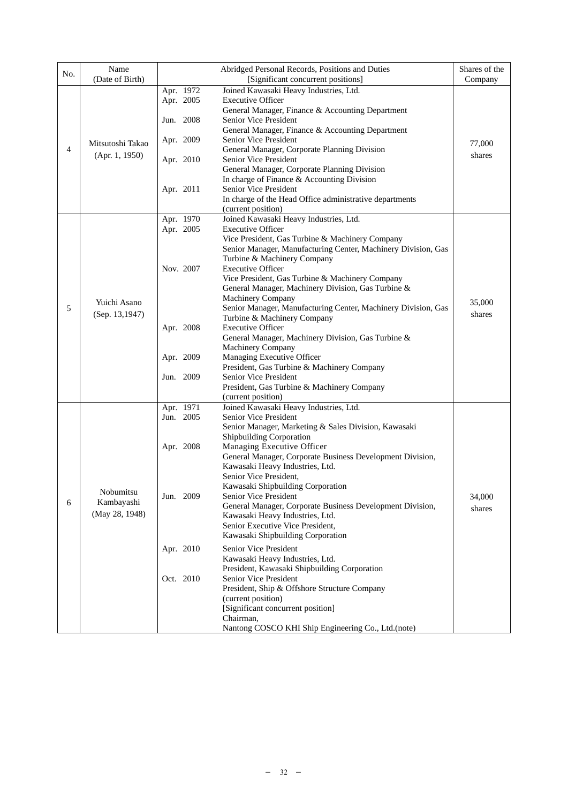| No. | Name<br>(Date of Birth)                   |                                                                            | Abridged Personal Records, Positions and Duties<br>[Significant concurrent positions]                                                                                                                                                                                                                                                                                                                                                                                                                                                                                                                                                                                                                                                                                                                                                                                 | Shares of the<br>Company |
|-----|-------------------------------------------|----------------------------------------------------------------------------|-----------------------------------------------------------------------------------------------------------------------------------------------------------------------------------------------------------------------------------------------------------------------------------------------------------------------------------------------------------------------------------------------------------------------------------------------------------------------------------------------------------------------------------------------------------------------------------------------------------------------------------------------------------------------------------------------------------------------------------------------------------------------------------------------------------------------------------------------------------------------|--------------------------|
| 4   | Mitsutoshi Takao<br>(Apr. 1, 1950)        | Apr. 1972<br>Apr. 2005<br>Jun. 2008<br>Apr. 2009<br>Apr. 2010<br>Apr. 2011 | Joined Kawasaki Heavy Industries, Ltd.<br><b>Executive Officer</b><br>General Manager, Finance & Accounting Department<br>Senior Vice President<br>General Manager, Finance & Accounting Department<br>Senior Vice President<br>General Manager, Corporate Planning Division<br>Senior Vice President<br>General Manager, Corporate Planning Division<br>In charge of Finance & Accounting Division<br>Senior Vice President<br>In charge of the Head Office administrative departments                                                                                                                                                                                                                                                                                                                                                                               | 77,000<br>shares         |
| 5   | Yuichi Asano<br>(Sep. 13, 1947)           | Apr. 1970<br>Apr. 2005<br>Nov. 2007<br>Apr. 2008<br>Apr. 2009<br>Jun. 2009 | (current position)<br>Joined Kawasaki Heavy Industries, Ltd.<br><b>Executive Officer</b><br>Vice President, Gas Turbine & Machinery Company<br>Senior Manager, Manufacturing Center, Machinery Division, Gas<br>Turbine & Machinery Company<br><b>Executive Officer</b><br>Vice President, Gas Turbine & Machinery Company<br>General Manager, Machinery Division, Gas Turbine &<br>Machinery Company<br>Senior Manager, Manufacturing Center, Machinery Division, Gas<br>Turbine & Machinery Company<br><b>Executive Officer</b><br>General Manager, Machinery Division, Gas Turbine &<br>Machinery Company<br>Managing Executive Officer<br>President, Gas Turbine & Machinery Company<br>Senior Vice President<br>President, Gas Turbine & Machinery Company<br>(current position)                                                                                 | 35,000<br>shares         |
| 6   | Nobumitsu<br>Kambayashi<br>(May 28, 1948) | Apr. 1971<br>Jun. 2005<br>Apr. 2008<br>Jun. 2009<br>Apr. 2010<br>Oct. 2010 | Joined Kawasaki Heavy Industries, Ltd.<br>Senior Vice President<br>Senior Manager, Marketing & Sales Division, Kawasaki<br>Shipbuilding Corporation<br>Managing Executive Officer<br>General Manager, Corporate Business Development Division,<br>Kawasaki Heavy Industries, Ltd.<br>Senior Vice President,<br>Kawasaki Shipbuilding Corporation<br>Senior Vice President<br>General Manager, Corporate Business Development Division,<br>Kawasaki Heavy Industries, Ltd.<br>Senior Executive Vice President,<br>Kawasaki Shipbuilding Corporation<br>Senior Vice President<br>Kawasaki Heavy Industries, Ltd.<br>President, Kawasaki Shipbuilding Corporation<br>Senior Vice President<br>President, Ship & Offshore Structure Company<br>(current position)<br>[Significant concurrent position]<br>Chairman,<br>Nantong COSCO KHI Ship Engineering Co., Ltd.(note) | 34,000<br>shares         |